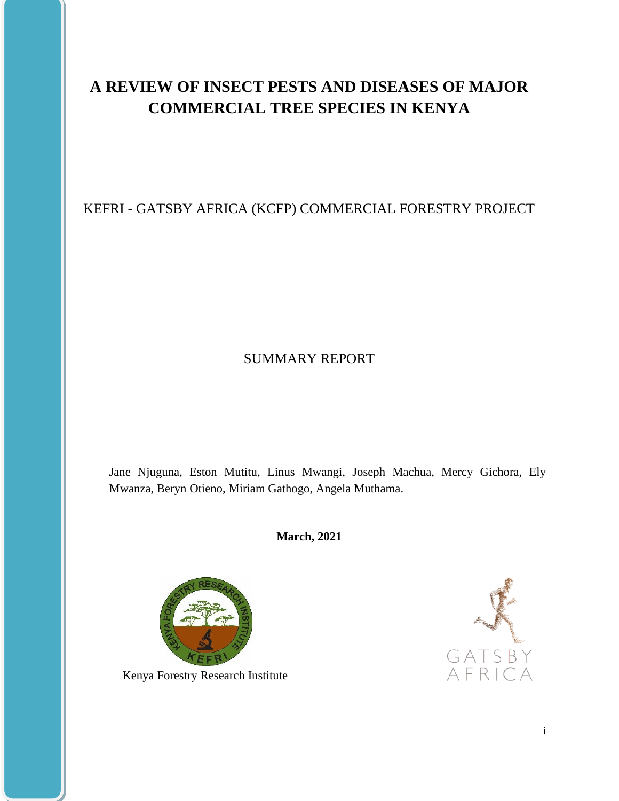# **A REVIEW OF INSECT PESTS AND DISEASES OF MAJOR COMMERCIAL TREE SPECIES IN KENYA**

# KEFRI - GATSBY AFRICA (KCFP) COMMERCIAL FORESTRY PROJECT

# SUMMARY REPORT

Jane Njuguna, Eston Mutitu, Linus Mwangi, Joseph Machua, Mercy Gichora, Ely Mwanza, Beryn Otieno, Miriam Gathogo, Angela Muthama.

**March, 2021**



Kenya Forestry Research Institute

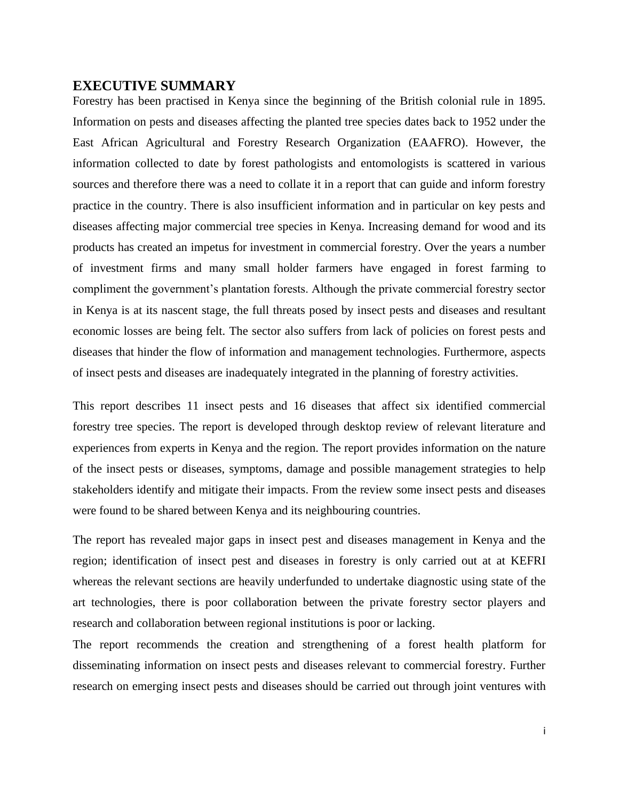## <span id="page-1-0"></span>**EXECUTIVE SUMMARY**

Forestry has been practised in Kenya since the beginning of the British colonial rule in 1895. Information on pests and diseases affecting the planted tree species dates back to 1952 under the East African Agricultural and Forestry Research Organization (EAAFRO). However, the information collected to date by forest pathologists and entomologists is scattered in various sources and therefore there was a need to collate it in a report that can guide and inform forestry practice in the country. There is also insufficient information and in particular on key pests and diseases affecting major commercial tree species in Kenya. Increasing demand for wood and its products has created an impetus for investment in commercial forestry. Over the years a number of investment firms and many small holder farmers have engaged in forest farming to compliment the government's plantation forests. Although the private commercial forestry sector in Kenya is at its nascent stage, the full threats posed by insect pests and diseases and resultant economic losses are being felt. The sector also suffers from lack of policies on forest pests and diseases that hinder the flow of information and management technologies. Furthermore, aspects of insect pests and diseases are inadequately integrated in the planning of forestry activities.

This report describes 11 insect pests and 16 diseases that affect six identified commercial forestry tree species. The report is developed through desktop review of relevant literature and experiences from experts in Kenya and the region. The report provides information on the nature of the insect pests or diseases, symptoms, damage and possible management strategies to help stakeholders identify and mitigate their impacts. From the review some insect pests and diseases were found to be shared between Kenya and its neighbouring countries.

The report has revealed major gaps in insect pest and diseases management in Kenya and the region; identification of insect pest and diseases in forestry is only carried out at at KEFRI whereas the relevant sections are heavily underfunded to undertake diagnostic using state of the art technologies, there is poor collaboration between the private forestry sector players and research and collaboration between regional institutions is poor or lacking.

The report recommends the creation and strengthening of a forest health platform for disseminating information on insect pests and diseases relevant to commercial forestry. Further research on emerging insect pests and diseases should be carried out through joint ventures with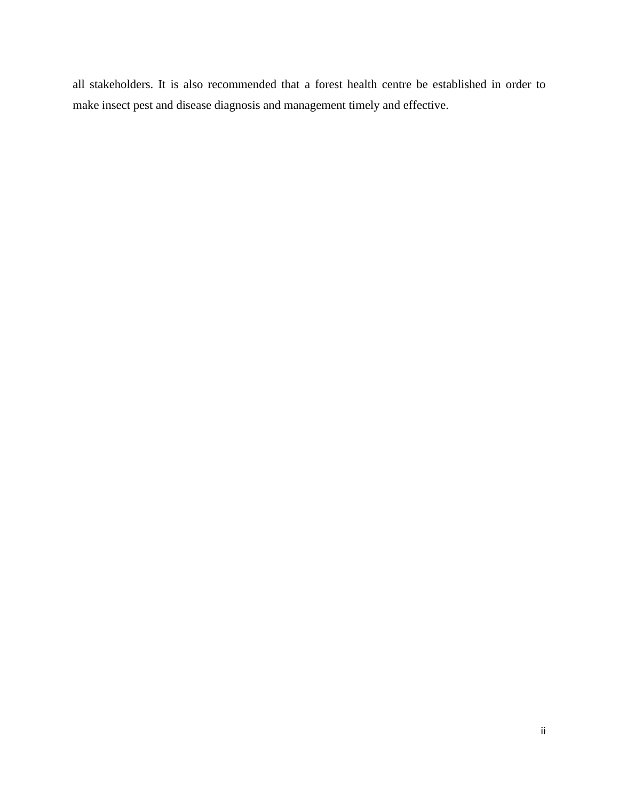all stakeholders. It is also recommended that a forest health centre be established in order to make insect pest and disease diagnosis and management timely and effective.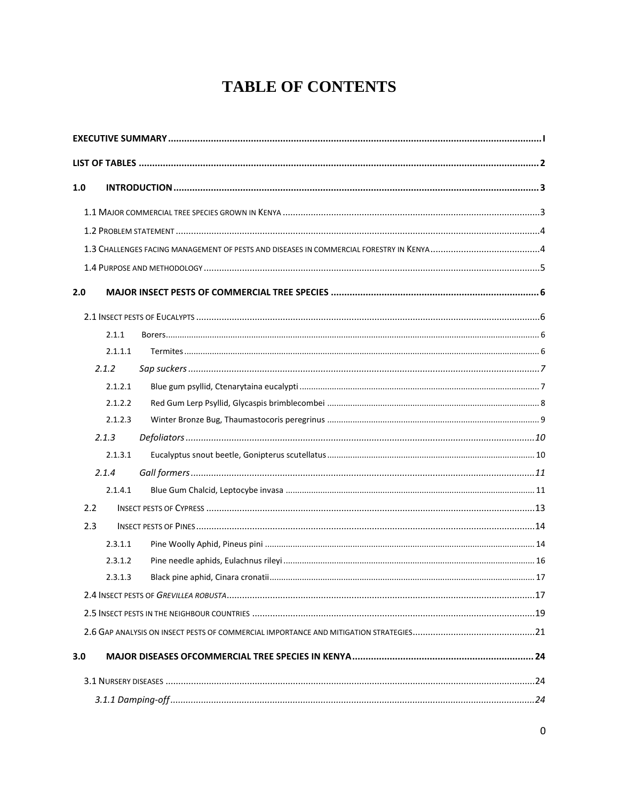# **TABLE OF CONTENTS**

| 1.0 |         |  |  |  |
|-----|---------|--|--|--|
|     |         |  |  |  |
|     |         |  |  |  |
|     |         |  |  |  |
|     |         |  |  |  |
| 2.0 |         |  |  |  |
|     |         |  |  |  |
|     | 2.1.1   |  |  |  |
|     | 2.1.1.1 |  |  |  |
|     | 2.1.2   |  |  |  |
|     | 2.1.2.1 |  |  |  |
|     | 2.1.2.2 |  |  |  |
|     | 2.1.2.3 |  |  |  |
|     | 2.1.3   |  |  |  |
|     | 2.1.3.1 |  |  |  |
|     | 2.1.4   |  |  |  |
|     | 2.1.4.1 |  |  |  |
|     | 2.2     |  |  |  |
|     | 2.3     |  |  |  |
|     | 2.3.1.1 |  |  |  |
|     | 2.3.1.2 |  |  |  |
|     | 2.3.1.3 |  |  |  |
|     |         |  |  |  |
|     |         |  |  |  |
|     |         |  |  |  |
| 3.0 |         |  |  |  |
|     |         |  |  |  |
|     |         |  |  |  |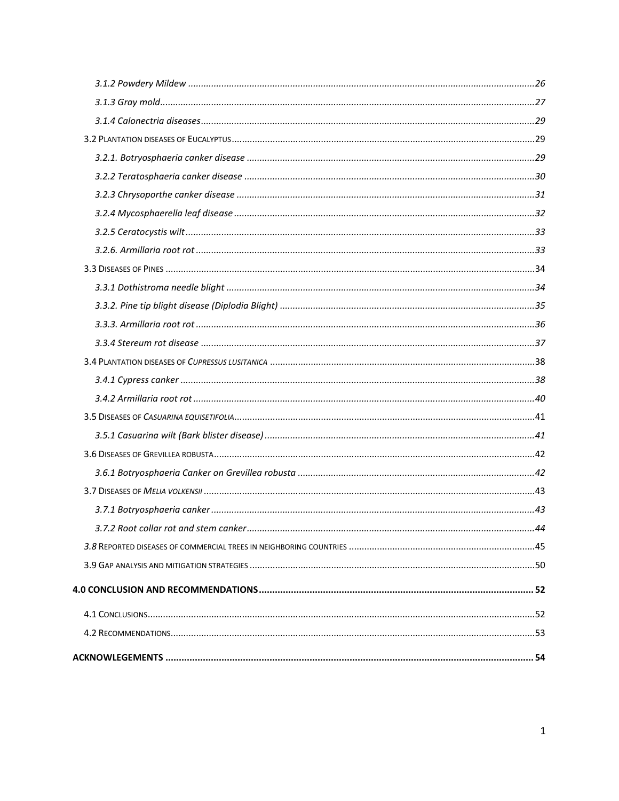| $\dots$ 44 |
|------------|
|            |
|            |
|            |
|            |
|            |
|            |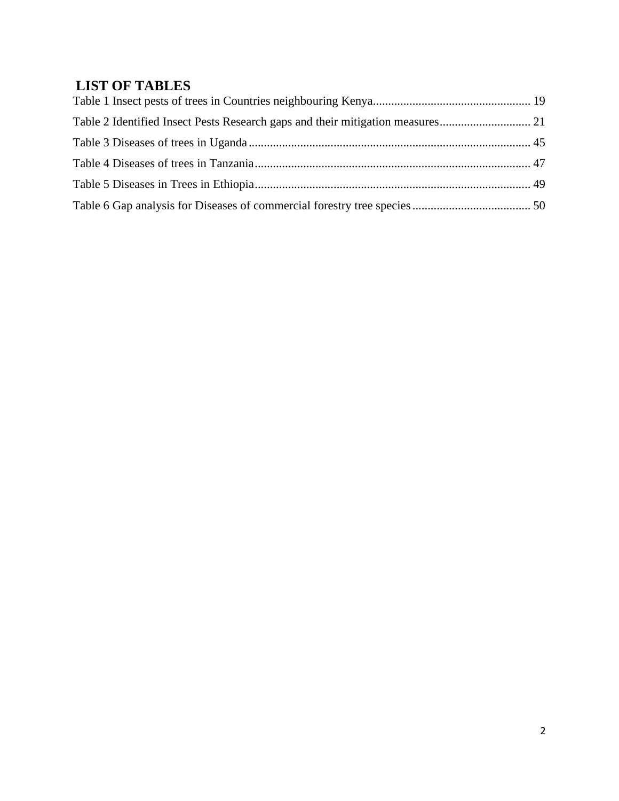# <span id="page-5-0"></span>**LIST OF TABLES**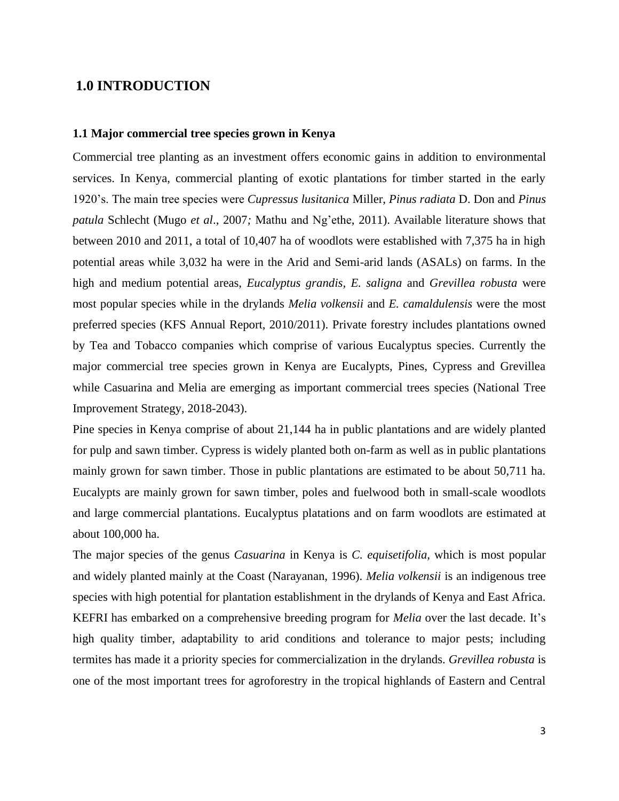## <span id="page-6-0"></span>**1.0 INTRODUCTION**

#### <span id="page-6-1"></span>**1.1 Major commercial tree species grown in Kenya**

Commercial tree planting as an investment offers economic gains in addition to environmental services. In Kenya, commercial planting of exotic plantations for timber started in the early 1920's. The main tree species were *Cupressus lusitanica* Miller, *Pinus radiata* D. Don and *Pinus patula* Schlecht (Mugo *et al*., 2007*;* Mathu and Ng'ethe, 2011). Available literature shows that between 2010 and 2011, a total of 10,407 ha of woodlots were established with 7,375 ha in high potential areas while 3,032 ha were in the Arid and Semi-arid lands (ASALs) on farms. In the high and medium potential areas, *Eucalyptus grandis, E. saligna* and *Grevillea robusta* were most popular species while in the drylands *Melia volkensii* and *E. camaldulensis* were the most preferred species (KFS Annual Report, 2010/2011). Private forestry includes plantations owned by Tea and Tobacco companies which comprise of various Eucalyptus species. Currently the major commercial tree species grown in Kenya are Eucalypts, Pines, Cypress and Grevillea while Casuarina and Melia are emerging as important commercial trees species (National Tree Improvement Strategy, 2018-2043).

Pine species in Kenya comprise of about 21,144 ha in public plantations and are widely planted for pulp and sawn timber. Cypress is widely planted both on-farm as well as in public plantations mainly grown for sawn timber. Those in public plantations are estimated to be about 50,711 ha. Eucalypts are mainly grown for sawn timber, poles and fuelwood both in small-scale woodlots and large commercial plantations. Eucalyptus platations and on farm woodlots are estimated at about 100,000 ha.

The major species of the genus *Casuarina* in Kenya is *C. equisetifolia,* which is most popular and widely planted mainly at the Coast (Narayanan, 1996). *Melia volkensii* is an indigenous tree species with high potential for plantation establishment in the drylands of Kenya and East Africa. KEFRI has embarked on a comprehensive breeding program for *Melia* over the last decade. It's high quality timber, adaptability to arid conditions and tolerance to major pests; including termites has made it a priority species for commercialization in the drylands. *Grevillea robusta* is one of the most important trees for agroforestry in the tropical highlands of Eastern and Central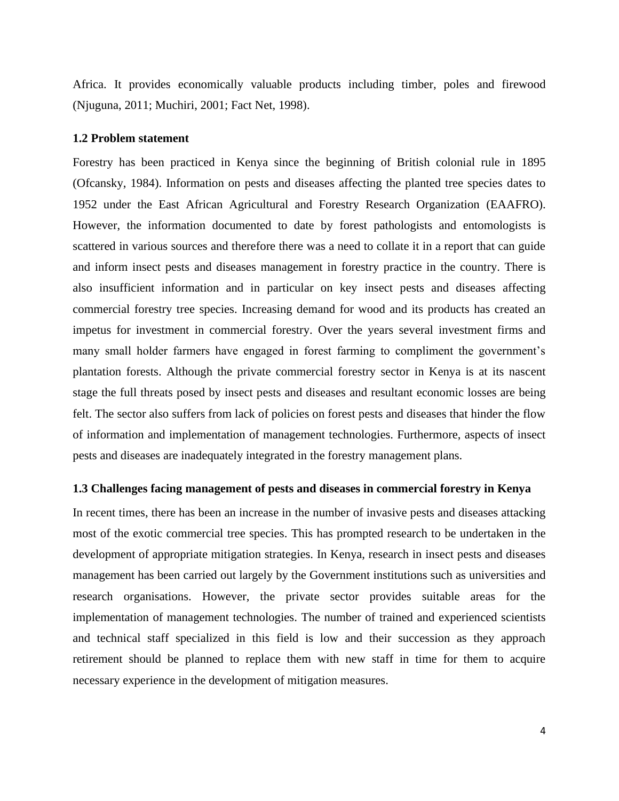Africa. It provides economically valuable products including timber, poles and firewood (Njuguna, 2011; Muchiri, 2001; Fact Net, 1998).

## <span id="page-7-0"></span>**1.2 Problem statement**

Forestry has been practiced in Kenya since the beginning of British colonial rule in 1895 (Ofcansky, 1984). Information on pests and diseases affecting the planted tree species dates to 1952 under the East African Agricultural and Forestry Research Organization (EAAFRO). However, the information documented to date by forest pathologists and entomologists is scattered in various sources and therefore there was a need to collate it in a report that can guide and inform insect pests and diseases management in forestry practice in the country. There is also insufficient information and in particular on key insect pests and diseases affecting commercial forestry tree species. Increasing demand for wood and its products has created an impetus for investment in commercial forestry. Over the years several investment firms and many small holder farmers have engaged in forest farming to compliment the government's plantation forests. Although the private commercial forestry sector in Kenya is at its nascent stage the full threats posed by insect pests and diseases and resultant economic losses are being felt. The sector also suffers from lack of policies on forest pests and diseases that hinder the flow of information and implementation of management technologies. Furthermore, aspects of insect pests and diseases are inadequately integrated in the forestry management plans.

#### <span id="page-7-1"></span>**1.3 Challenges facing management of pests and diseases in commercial forestry in Kenya**

In recent times, there has been an increase in the number of invasive pests and diseases attacking most of the exotic commercial tree species. This has prompted research to be undertaken in the development of appropriate mitigation strategies. In Kenya, research in insect pests and diseases management has been carried out largely by the Government institutions such as universities and research organisations. However, the private sector provides suitable areas for the implementation of management technologies. The number of trained and experienced scientists and technical staff specialized in this field is low and their succession as they approach retirement should be planned to replace them with new staff in time for them to acquire necessary experience in the development of mitigation measures.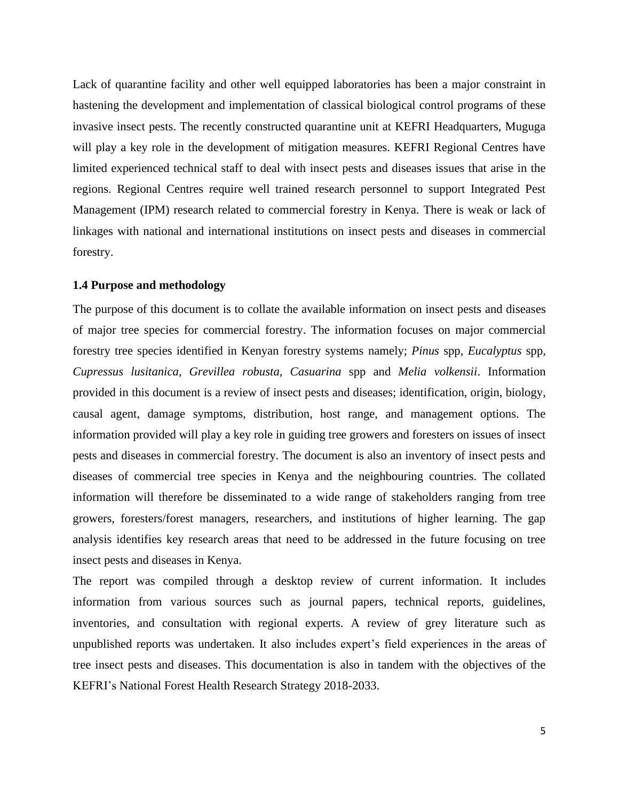Lack of quarantine facility and other well equipped laboratories has been a major constraint in hastening the development and implementation of classical biological control programs of these invasive insect pests. The recently constructed quarantine unit at KEFRI Headquarters, Muguga will play a key role in the development of mitigation measures. KEFRI Regional Centres have limited experienced technical staff to deal with insect pests and diseases issues that arise in the regions. Regional Centres require well trained research personnel to support Integrated Pest Management (IPM) research related to commercial forestry in Kenya. There is weak or lack of linkages with national and international institutions on insect pests and diseases in commercial forestry.

## <span id="page-8-0"></span>**1.4 Purpose and methodology**

The purpose of this document is to collate the available information on insect pests and diseases of major tree species for commercial forestry. The information focuses on major commercial forestry tree species identified in Kenyan forestry systems namely; *Pinus* spp, *Eucalyptus* spp, *Cupressus lusitanica*, *Grevillea robusta*, *Casuarina* spp and *Melia volkensii*. Information provided in this document is a review of insect pests and diseases; identification, origin, biology, causal agent, damage symptoms, distribution, host range, and management options. The information provided will play a key role in guiding tree growers and foresters on issues of insect pests and diseases in commercial forestry. The document is also an inventory of insect pests and diseases of commercial tree species in Kenya and the neighbouring countries. The collated information will therefore be disseminated to a wide range of stakeholders ranging from tree growers, foresters/forest managers, researchers, and institutions of higher learning. The gap analysis identifies key research areas that need to be addressed in the future focusing on tree insect pests and diseases in Kenya.

The report was compiled through a desktop review of current information. It includes information from various sources such as journal papers, technical reports, guidelines, inventories, and consultation with regional experts. A review of grey literature such as unpublished reports was undertaken. It also includes expert's field experiences in the areas of tree insect pests and diseases. This documentation is also in tandem with the objectives of the KEFRI's National Forest Health Research Strategy 2018-2033.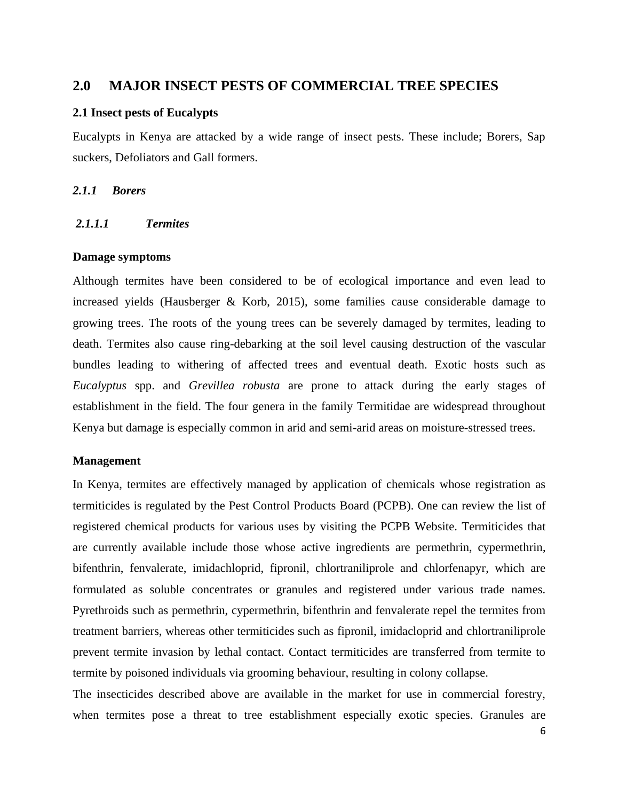# <span id="page-9-0"></span>**2.0 MAJOR INSECT PESTS OF COMMERCIAL TREE SPECIES**

#### <span id="page-9-1"></span>**2.1 Insect pests of Eucalypts**

Eucalypts in Kenya are attacked by a wide range of insect pests. These include; Borers, Sap suckers, Defoliators and Gall formers.

## <span id="page-9-2"></span>*2.1.1 Borers*

## <span id="page-9-3"></span>*2.1.1.1 Termites*

#### **Damage symptoms**

Although termites have been considered to be of ecological importance and even lead to increased yields (Hausberger & Korb, 2015), some families cause considerable damage to growing trees. The roots of the young trees can be severely damaged by termites, leading to death. Termites also cause ring-debarking at the soil level causing destruction of the vascular bundles leading to withering of affected trees and eventual death. Exotic hosts such as *Eucalyptus* spp. and *Grevillea robusta* are prone to attack during the early stages of establishment in the field. The four genera in the family Termitidae are widespread throughout Kenya but damage is especially common in arid and semi-arid areas on moisture-stressed trees.

## **Management**

In Kenya, termites are effectively managed by application of chemicals whose registration as termiticides is regulated by the Pest Control Products Board (PCPB). One can review the list of registered chemical products for various uses by visiting the PCPB Website. Termiticides that are currently available include those whose active ingredients are permethrin, cypermethrin, bifenthrin, fenvalerate, imidachloprid, fipronil, chlortraniliprole and chlorfenapyr, which are formulated as soluble concentrates or granules and registered under various trade names. Pyrethroids such as permethrin, cypermethrin, bifenthrin and fenvalerate repel the termites from treatment barriers, whereas other termiticides such as fipronil, imidacloprid and chlortraniliprole prevent termite invasion by lethal contact. Contact termiticides are transferred from termite to termite by poisoned individuals via grooming behaviour, resulting in colony collapse.

The insecticides described above are available in the market for use in commercial forestry, when termites pose a threat to tree establishment especially exotic species. Granules are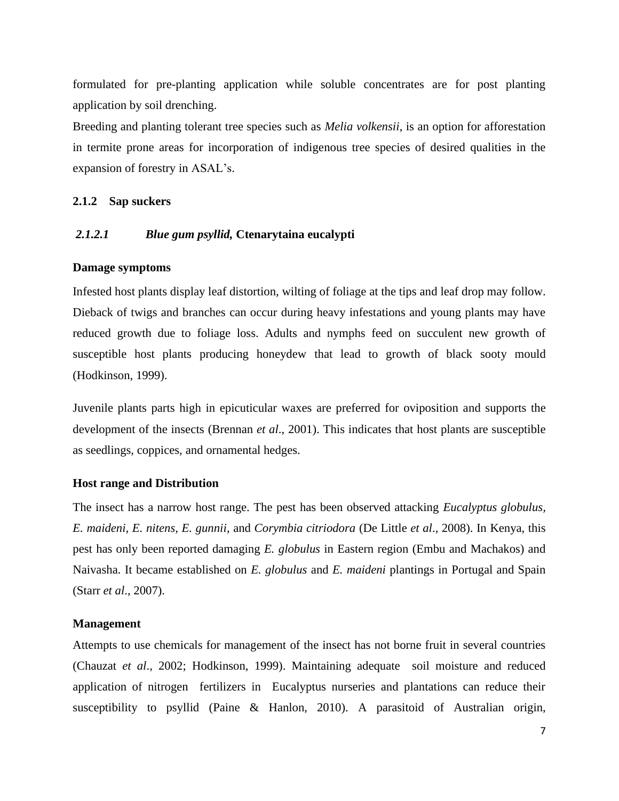formulated for pre-planting application while soluble concentrates are for post planting application by soil drenching.

Breeding and planting tolerant tree species such as *Melia volkensii*, is an option for afforestation in termite prone areas for incorporation of indigenous tree species of desired qualities in the expansion of forestry in ASAL's.

## <span id="page-10-0"></span>**2.1.2 Sap suckers**

## <span id="page-10-1"></span>*2.1.2.1 Blue gum psyllid,* **Ctenarytaina eucalypti**

## **Damage symptoms**

Infested host plants display leaf distortion, wilting of foliage at the tips and leaf drop may follow. Dieback of twigs and branches can occur during heavy infestations and young plants may have reduced growth due to foliage loss. Adults and nymphs feed on succulent new growth of susceptible host plants producing honeydew that lead to growth of black sooty mould (Hodkinson, 1999).

Juvenile plants parts high in epicuticular waxes are preferred for oviposition and supports the development of the insects (Brennan *et al*., 2001). This indicates that host plants are susceptible as seedlings, coppices, and ornamental hedges.

#### **Host range and Distribution**

The insect has a narrow host range. The pest has been observed attacking *Eucalyptus globulus, E. maideni, E. nitens, E. gunnii*, and *Corymbia citriodora* (De Little *et al*., 2008). In Kenya, this pest has only been reported damaging *E. globulus* in Eastern region (Embu and Machakos) and Naivasha. It became established on *E. globulus* and *E. maideni* plantings in Portugal and Spain (Starr *et al*., 2007).

## **Management**

Attempts to use chemicals for management of the insect has not borne fruit in several countries (Chauzat *et al*., 2002; Hodkinson, 1999). Maintaining adequate soil moisture and reduced application of nitrogen fertilizers in Eucalyptus nurseries and plantations can reduce their susceptibility to psyllid (Paine & Hanlon, 2010). A parasitoid of Australian origin,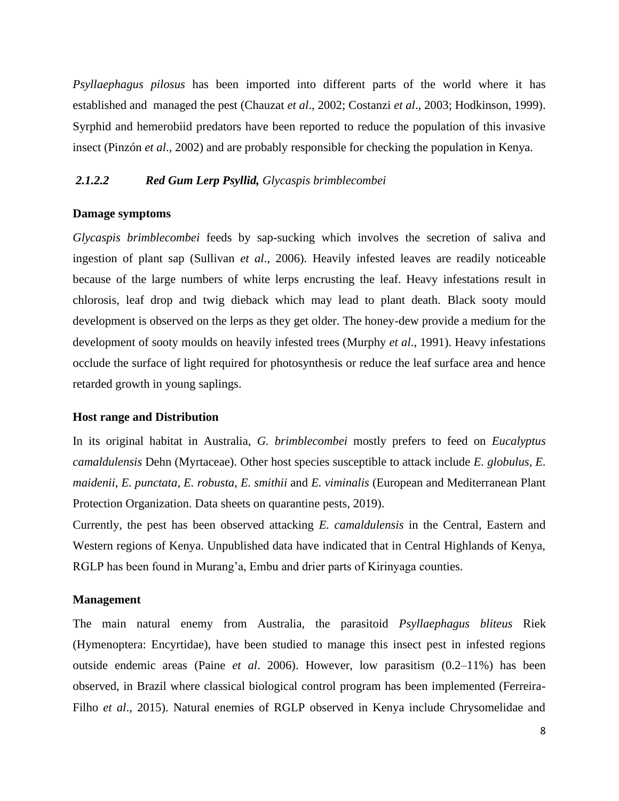*Psyllaephagus pilosus* has been imported into different parts of the world where it has established and managed the pest (Chauzat *et al*., 2002; Costanzi *et al*., 2003; Hodkinson, 1999). Syrphid and hemerobiid predators have been reported to reduce the population of this invasive insect (Pinzón *et al*., 2002) and are probably responsible for checking the population in Kenya.

## <span id="page-11-0"></span>*2.1.2.2 Red Gum Lerp Psyllid, Glycaspis brimblecombei*

## **Damage symptoms**

*Glycaspis brimblecombei* feeds by sap-sucking which involves the secretion of saliva and ingestion of plant sap (Sullivan *et al*., 2006). Heavily infested leaves are readily noticeable because of the large numbers of white lerps encrusting the leaf. Heavy infestations result in chlorosis, leaf drop and twig dieback which may lead to plant death. Black sooty mould development is observed on the lerps as they get older. The honey-dew provide a medium for the development of sooty moulds on heavily infested trees [\(Murphy](https://www.cabi.org/isc/datasheet/23148#8A035EB8-4B5F-4760-88A7-069020F7351E) *et al*., 1991). Heavy infestations occlude the surface of light required for photosynthesis or reduce the leaf surface area and hence retarded growth in young saplings.

#### **Host range and Distribution**

In its original habitat in Australia, *G. brimblecombei* mostly prefers to feed on *Eucalyptus camaldulensis* Dehn (Myrtaceae). Other host species susceptible to attack include *[E. globulus](https://en.wikipedia.org/wiki/Eucalyptus_globulus)*, *[E.](https://en.wikipedia.org/wiki/Eucalyptus_maidenii)  [maidenii](https://en.wikipedia.org/wiki/Eucalyptus_maidenii)*, *[E. punctata](https://en.wikipedia.org/wiki/Eucalyptus_punctata)*, *[E. robusta](https://en.wikipedia.org/wiki/Eucalyptus_robusta)*, *[E. smithii](https://en.wikipedia.org/wiki/Eucalyptus_smithii)* and *[E. viminalis](https://en.wikipedia.org/wiki/Eucalyptus_viminalis)* (European and Mediterranean Plant Protection Organization. Data sheets on quarantine pests, 2019).

Currently, the pest has been observed attacking *E. camaldulensis* in the Central, Eastern and Western regions of Kenya. Unpublished data have indicated that in Central Highlands of Kenya, RGLP has been found in Murang'a, Embu and drier parts of Kirinyaga counties.

## **Management**

The main natural enemy from Australia, the parasitoid *Psyllaephagus bliteus* Riek (Hymenoptera: Encyrtidae), have been studied to manage this insect pest in infested regions outside endemic areas (Paine *et al*. 2006). However, low parasitism (0.2–11%) has been observed, in Brazil where classical biological control program has been implemented (Ferreira-Filho *et al*., 2015). Natural enemies of RGLP observed in Kenya include Chrysomelidae and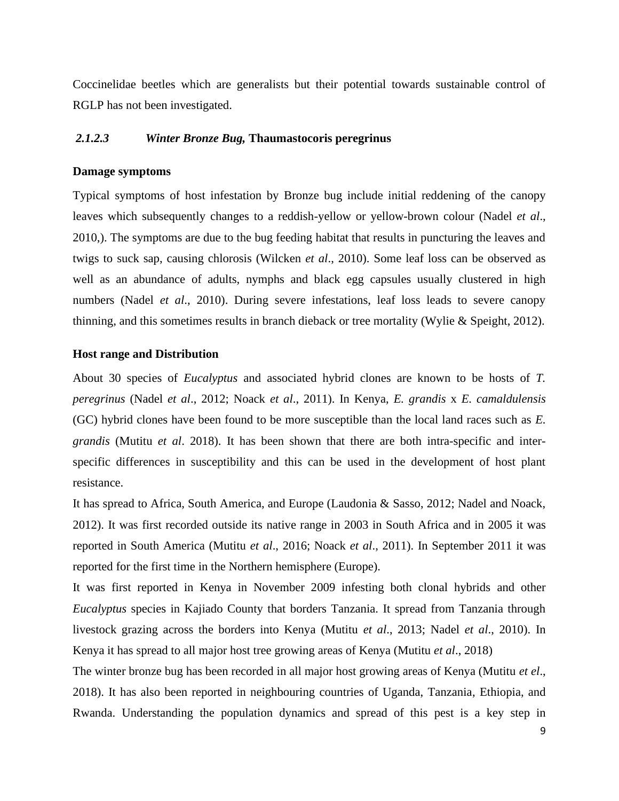Coccinelidae beetles which are generalists but their potential towards sustainable control of RGLP has not been investigated.

## <span id="page-12-0"></span>*2.1.2.3 Winter Bronze Bug,* **Thaumastocoris peregrinus**

#### **Damage symptoms**

Typical symptoms of host infestation by Bronze bug include initial reddening of the canopy leaves which subsequently changes to a reddish-yellow or yellow-brown colour (Nadel *et al*., 2010,). The symptoms are due to the bug feeding habitat that results in puncturing the leaves and twigs to suck sap, causing chlorosis (Wilcken *et al*., 2010). Some leaf loss can be observed as well as an abundance of adults, nymphs and black egg capsules usually clustered in high numbers (Nadel *et al*., 2010). During severe infestations, leaf loss leads to severe canopy thinning, and this sometimes results in branch dieback or tree mortality (Wylie & Speight, 2012).

## **Host range and Distribution**

About 30 species of *Eucalyptus* and associated hybrid clones are known to be hosts of *T. peregrinus* (Nadel *et al*., 2012; Noack *et al*., 2011). In Kenya, *E. grandis* x *E. camaldulensis* (GC) hybrid clones have been found to be more susceptible than the local land races such as *E. grandis* (Mutitu *et al*. 2018). It has been shown that there are both intra-specific and interspecific differences in susceptibility and this can be used in the development of host plant resistance.

It has spread to Africa, South America, and Europe (Laudonia & Sasso, 2012; Nadel and Noack, 2012). It was first recorded outside its native range in 2003 in South Africa and in 2005 it was reported in South America (Mutitu *et al*., 2016; Noack *et al*., 2011). In September 2011 it was reported for the first time in the Northern hemisphere (Europe).

It was first reported in Kenya in November 2009 infesting both clonal hybrids and other *Eucalyptus* species in Kajiado County that borders Tanzania. It spread from Tanzania through livestock grazing across the borders into Kenya (Mutitu *et al*., 2013; Nadel *et al*., 2010). In Kenya it has spread to all major host tree growing areas of Kenya (Mutitu *et al*., 2018)

The winter bronze bug has been recorded in all major host growing areas of Kenya (Mutitu *et el*., 2018). It has also been reported in neighbouring countries of Uganda, Tanzania, Ethiopia, and Rwanda. Understanding the population dynamics and spread of this pest is a key step in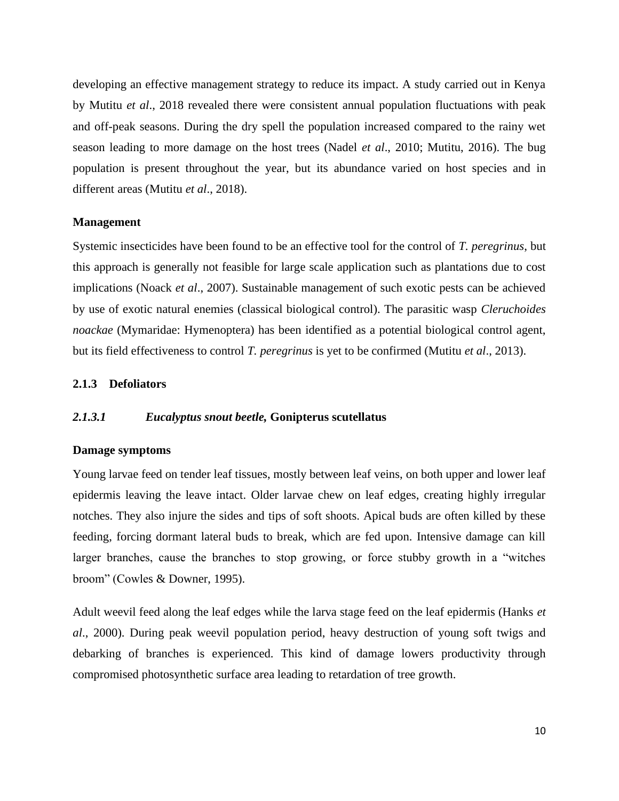developing an effective management strategy to reduce its impact. A study carried out in Kenya by Mutitu *et al*., 2018 revealed there were consistent annual population fluctuations with peak and off-peak seasons. During the dry spell the population increased compared to the rainy wet season leading to more damage on the host trees (Nadel *et al*., 2010; Mutitu, 2016). The bug population is present throughout the year, but its abundance varied on host species and in different areas (Mutitu *et al*., 2018).

## **Management**

Systemic insecticides have been found to be an effective tool for the control of *T. peregrinus*, but this approach is generally not feasible for large scale application such as plantations due to cost implications (Noack *et al*., 2007). Sustainable management of such exotic pests can be achieved by use of exotic natural enemies (classical biological control). The parasitic wasp *Cleruchoides noackae* (Mymaridae: Hymenoptera) has been identified as a potential biological control agent, but its field effectiveness to control *T. peregrinus* is yet to be confirmed (Mutitu *et al*., 2013).

## <span id="page-13-0"></span>**2.1.3 Defoliators**

## <span id="page-13-1"></span>*2.1.3.1 Eucalyptus snout beetle,* **Gonipterus scutellatus**

#### **Damage symptoms**

Young larvae feed on tender leaf tissues, mostly between leaf veins, on both upper and lower leaf epidermis leaving the leave intact. Older larvae chew on leaf edges, creating highly irregular notches. They also injure the sides and tips of soft shoots. Apical buds are often killed by these feeding, forcing dormant lateral buds to break, which are fed upon. Intensive damage can kill larger branches, cause the branches to stop growing, or force stubby growth in a "witches broom" (Cowles & Downer, 1995).

Adult weevil feed along the leaf edges while the larva stage feed on the leaf epidermis (Hanks *et al*., 2000). During peak weevil population period, heavy destruction of young soft twigs and debarking of branches is experienced. This kind of damage lowers productivity through compromised photosynthetic surface area leading to retardation of tree growth.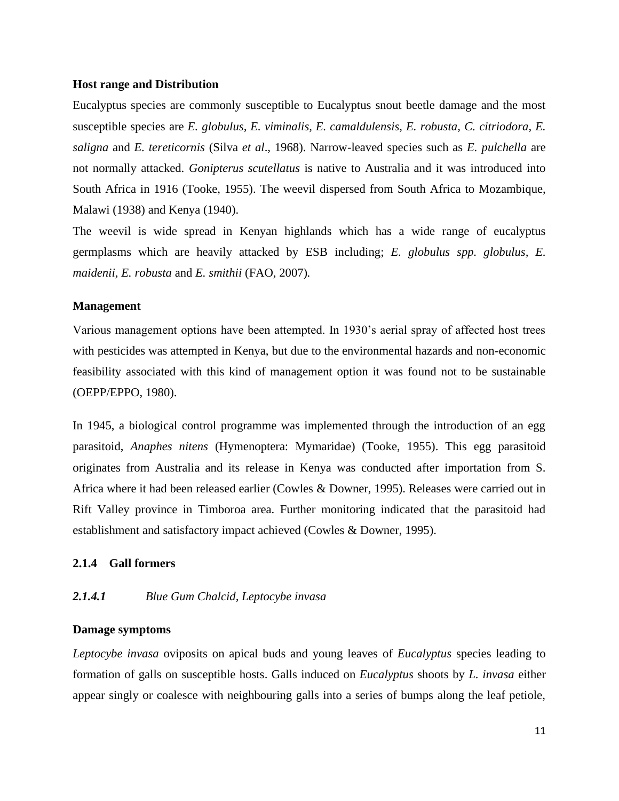#### **Host range and Distribution**

Eucalyptus species are commonly susceptible to Eucalyptus snout beetle damage and the most susceptible species are *E. globulus, E. viminalis, E. camaldulensis, E. robusta, C. citriodora, E. saligna* and *E. tereticornis* (Silva *et al*., 1968). Narrow-leaved species such as *E. pulchella* are not normally attacked. *Gonipterus scutellatus* is native to Australia and it was introduced into South Africa in 1916 (Tooke, 1955). The weevil dispersed from South Africa to Mozambique, Malawi (1938) and Kenya (1940).

The weevil is wide spread in Kenyan highlands which has a wide range of eucalyptus germplasms which are heavily attacked by ESB including; *E. globulus spp. globulus, E. maidenii, E. robusta* and *E. smithii* (FAO, 2007)*.*

## **Management**

Various management options have been attempted. In 1930's aerial spray of affected host trees with pesticides was attempted in Kenya, but due to the environmental hazards and non-economic feasibility associated with this kind of management option it was found not to be sustainable (OEPP/EPPO, 1980).

In 1945, a biological control programme was implemented through the introduction of an egg parasitoid, *Anaphes nitens* (Hymenoptera: Mymaridae) (Tooke, 1955). This egg parasitoid originates from Australia and its release in Kenya was conducted after importation from S. Africa where it had been released earlier (Cowles & Downer, 1995). Releases were carried out in Rift Valley province in Timboroa area. Further monitoring indicated that the parasitoid had establishment and satisfactory impact achieved (Cowles & Downer, 1995).

## <span id="page-14-0"></span>**2.1.4 Gall formers**

## <span id="page-14-1"></span>*2.1.4.1 Blue Gum Chalcid, Leptocybe invasa*

## **Damage symptoms**

*Leptocybe invasa* oviposits on apical buds and young leaves of *Eucalyptus* species leading to formation of galls on susceptible hosts. Galls induced on *Eucalyptus* shoots by *L. invasa* either appear singly or coalesce with neighbouring galls into a series of bumps along the leaf petiole,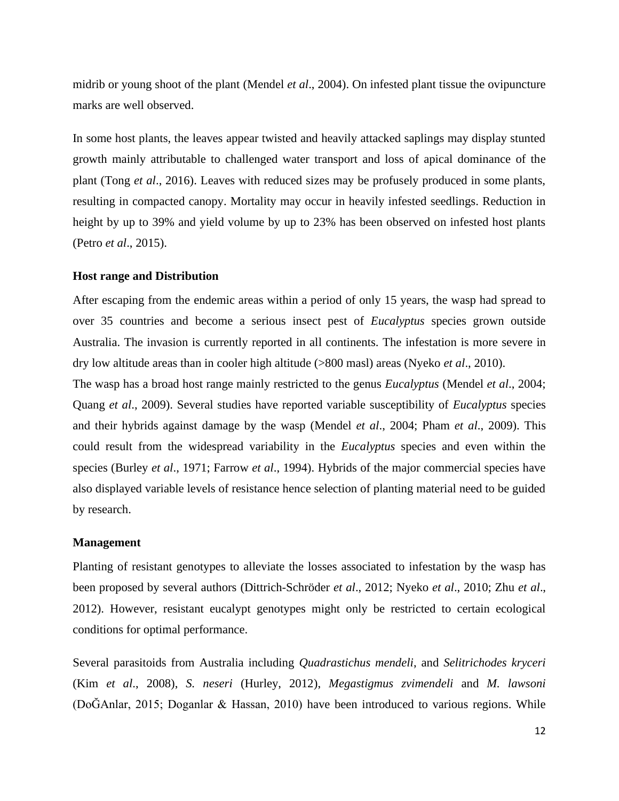midrib or young shoot of the plant (Mendel *et al*., 2004). On infested plant tissue the ovipuncture marks are well observed.

In some host plants, the leaves appear twisted and heavily attacked saplings may display stunted growth mainly attributable to challenged water transport and loss of apical dominance of the plant (Tong *et al*., 2016). Leaves with reduced sizes may be profusely produced in some plants, resulting in compacted canopy. Mortality may occur in heavily infested seedlings. Reduction in height by up to 39% and yield volume by up to 23% has been observed on infested host plants (Petro *et al*., 2015).

#### **Host range and Distribution**

After escaping from the endemic areas within a period of only 15 years, the wasp had spread to over 35 countries and become a serious insect pest of *Eucalyptus* species grown outside Australia. The invasion is currently reported in all continents. The infestation is more severe in dry low altitude areas than in cooler high altitude (>800 masl) areas (Nyeko *et al*., 2010).

The wasp has a broad host range mainly restricted to the genus *Eucalyptus* (Mendel *et al*., 2004; Quang *et al*., 2009). Several studies have reported variable susceptibility of *Eucalyptus* species and their hybrids against damage by the wasp (Mendel *et al*., 2004; Pham *et al*., 2009). This could result from the widespread variability in the *Eucalyptus* species and even within the species (Burley *et al*., 1971; Farrow *et al*., 1994). Hybrids of the major commercial species have also displayed variable levels of resistance hence selection of planting material need to be guided by research.

#### **Management**

Planting of resistant genotypes to alleviate the losses associated to infestation by the wasp has been proposed by several authors (Dittrich-Schröder *et al*., 2012; Nyeko *et al*., 2010; Zhu *et al*., 2012). However, resistant eucalypt genotypes might only be restricted to certain ecological conditions for optimal performance.

Several parasitoids from Australia including *Quadrastichus mendeli*, and *Selitrichodes kryceri* (Kim *et al*., 2008), *S. neseri* (Hurley, 2012), *Megastigmus zvimendeli* and *M. lawsoni*  (DoĞAnlar, 2015; Doganlar & Hassan, 2010) have been introduced to various regions. While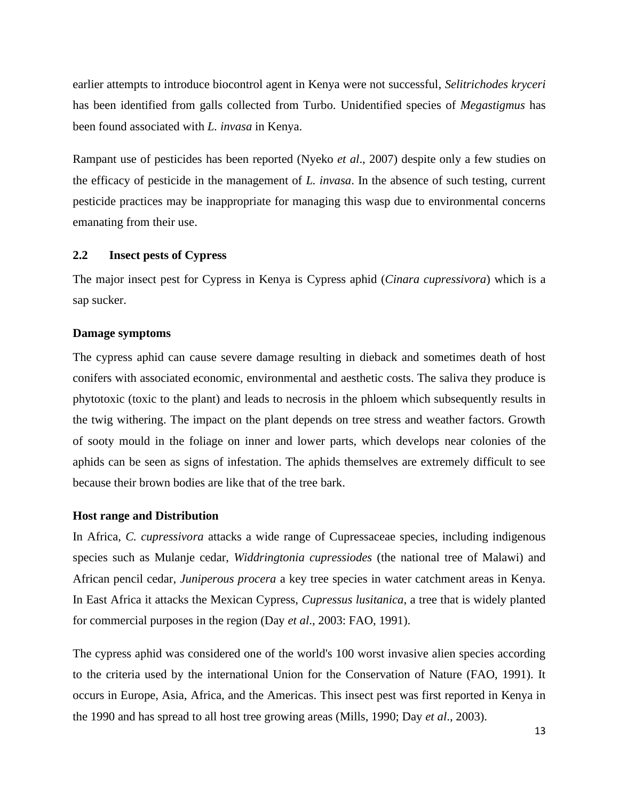earlier attempts to introduce biocontrol agent in Kenya were not successful, *Selitrichodes kryceri* has been identified from galls collected from Turbo. Unidentified species of *Megastigmus* has been found associated with *L. invasa* in Kenya.

Rampant use of pesticides has been reported (Nyeko *et al*., 2007) despite only a few studies on the efficacy of pesticide in the management of *L. invasa*. In the absence of such testing, current pesticide practices may be inappropriate for managing this wasp due to environmental concerns emanating from their use.

## <span id="page-16-0"></span>**2.2 Insect pests of Cypress**

The major insect pest for Cypress in Kenya is Cypress aphid (*Cinara cupressivora*) which is a sap sucker.

#### **Damage symptoms**

The cypress aphid can cause severe damage resulting in dieback and sometimes death of host conifers with associated economic, environmental and aesthetic costs. The saliva they produce is phytotoxic (toxic to the plant) and leads to necrosis in the phloem which subsequently results in the twig withering. The impact on the plant depends on tree stress and weather factors. Growth of sooty mould in the foliage on inner and lower parts, which develops near colonies of the aphids can be seen as signs of infestation. The aphids themselves are extremely difficult to see because their brown bodies are like that of the tree bark.

#### **Host range and Distribution**

In Africa, *C. cupressivora* attacks a wide range of Cupressaceae species, including indigenous species such as Mulanje cedar, *Widdringtonia cupressiodes* (the national tree of Malawi) and African pencil cedar, *Juniperous procera* a key tree species in water catchment areas in Kenya. In East Africa it attacks the Mexican Cypress, *Cupressus lusitanica*, a tree that is widely planted for commercial purposes in the region (Day *et al*., 2003: FAO, 1991).

The cypress aphid was considered one of the world's 100 worst invasive alien species according to the criteria used by the international Union for the Conservation of Nature (FAO, 1991). It occurs in Europe, Asia, Africa, and the Americas. This insect pest was first reported in Kenya in the 1990 and has spread to all host tree growing areas (Mills, 1990; Day *et al*., 2003).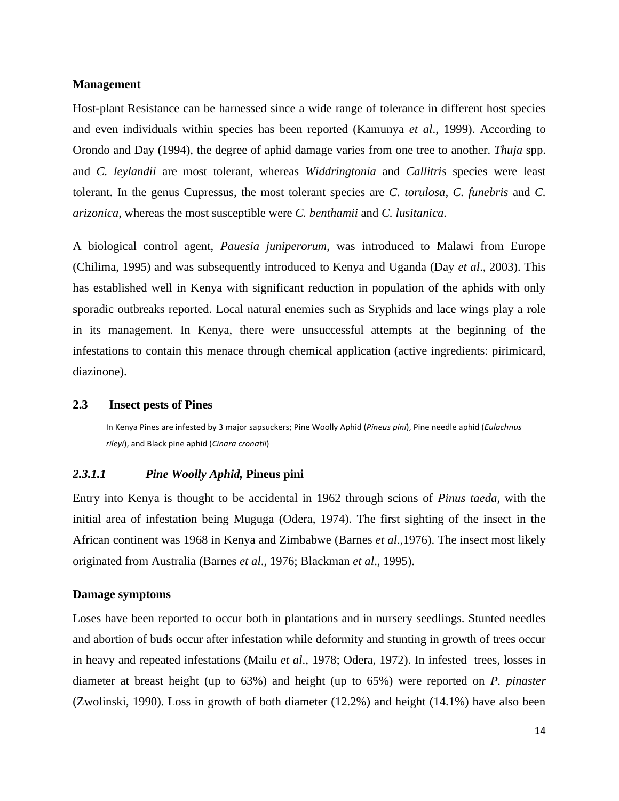#### **Management**

Host-plant Resistance can be harnessed since a wide range of tolerance in different host species and even individuals within species has been reported (Kamunya *et al*., 1999). According to Orondo and Day (1994), the degree of aphid damage varies from one tree to another. *Thuja* spp. and *C. leylandii* are most tolerant, whereas *Widdringtonia* and *Callitris* species were least tolerant. In the genus Cupressus, the most tolerant species are *C. torulosa, C. funebris* and *C. arizonica*, whereas the most susceptible were *C. benthamii* and *C. lusitanica*.

A biological control agent, *Pauesia juniperorum*, was introduced to Malawi from Europe (Chilima, 1995) and was subsequently introduced to Kenya and Uganda (Day *et al*., 2003). This has established well in Kenya with significant reduction in population of the aphids with only sporadic outbreaks reported. Local natural enemies such as Sryphids and lace wings play a role in its management. In Kenya, there were unsuccessful attempts at the beginning of the infestations to contain this menace through chemical application (active ingredients: pirimicard, diazinone).

#### <span id="page-17-0"></span>**2.3 Insect pests of Pines**

In Kenya Pines are infested by 3 major sapsuckers; Pine Woolly Aphid (*Pineus pini*), Pine needle aphid (*Eulachnus rileyi*), and Black pine aphid (*Cinara cronatii*)

## <span id="page-17-1"></span>*2.3.1.1 Pine Woolly Aphid,* **Pineus pini**

Entry into Kenya is thought to be accidental in 1962 through scions of *Pinus taeda,* with the initial area of infestation being Muguga (Odera, 1974). The first sighting of the insect in the African continent was 1968 in Kenya and Zimbabwe (Barnes *et al*.,1976). The insect most likely originated from Australia (Barnes *et al*., 1976; Blackman *et al*., 1995).

## **Damage symptoms**

Loses have been reported to occur both in plantations and in nursery seedlings. Stunted needles and abortion of buds occur after infestation while deformity and stunting in growth of trees occur in heavy and repeated infestations (Mailu *et al*., 1978; Odera, 1972). In infested trees, losses in diameter at breast height (up to 63%) and height (up to 65%) were reported on *P. pinaster* (Zwolinski, 1990). Loss in growth of both diameter (12.2%) and height (14.1%) have also been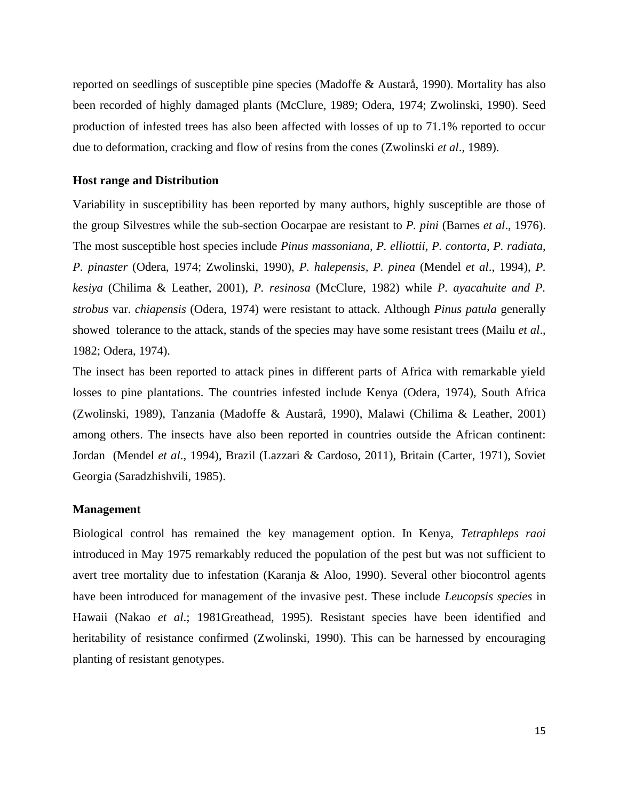reported on seedlings of susceptible pine species (Madoffe & Austarå, 1990). Mortality has also been recorded of highly damaged plants (McClure, 1989; Odera, 1974; Zwolinski, 1990). Seed production of infested trees has also been affected with losses of up to 71.1% reported to occur due to deformation, cracking and flow of resins from the cones (Zwolinski *et al*., 1989).

## **Host range and Distribution**

Variability in susceptibility has been reported by many authors, highly susceptible are those of the group Silvestres while the sub-section Oocarpae are resistant to *P. pini* (Barnes *et al*., 1976). The most susceptible host species include *Pinus massoniana, P. elliottii, P. contorta*, *P. radiata*, *P. pinaster* (Odera, 1974; Zwolinski, 1990), *P. halepensis, P. pinea* (Mendel *et al*., 1994), *P. kesiya* (Chilima & Leather, 2001), *P. resinosa* (McClure, 1982) while *P. ayacahuite and P. strobus* var. *chiapensis* (Odera, 1974) were resistant to attack. Although *Pinus patula* generally showed tolerance to the attack, stands of the species may have some resistant trees (Mailu *et al*., 1982; Odera, 1974).

The insect has been reported to attack pines in different parts of Africa with remarkable yield losses to pine plantations. The countries infested include Kenya (Odera, 1974), South Africa (Zwolinski, 1989), Tanzania (Madoffe & Austarå, 1990), Malawi (Chilima & Leather, 2001) among others. The insects have also been reported in countries outside the African continent: Jordan (Mendel *et al*., 1994), Brazil (Lazzari & Cardoso, 2011), Britain (Carter, 1971), Soviet Georgia (Saradzhishvili, 1985).

#### **Management**

Biological control has remained the key management option. In Kenya, *Tetraphleps raoi* introduced in May 1975 remarkably reduced the population of the pest but was not sufficient to avert tree mortality due to infestation (Karanja & Aloo, 1990). Several other biocontrol agents have been introduced for management of the invasive pest. These include *Leucopsis species* in Hawaii (Nakao *et al*.; 1981Greathead, 1995). Resistant species have been identified and heritability of resistance confirmed (Zwolinski, 1990). This can be harnessed by encouraging planting of resistant genotypes.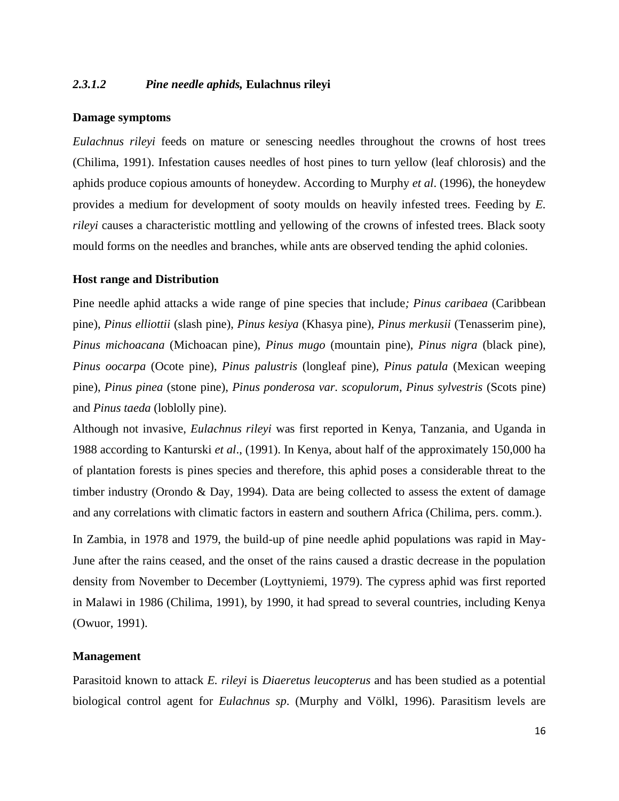## <span id="page-19-0"></span>*2.3.1.2 Pine needle aphids,* **Eulachnus rileyi**

#### **Damage symptoms**

*Eulachnus rileyi* feeds on mature or senescing needles throughout the crowns of host trees [\(Chilima, 1991\)](https://www.cabi.org/isc/datasheet/23148#AAEDBDC2-D4B3-4ED2-997E-678559C2252C). Infestation causes needles of host pines to turn yellow (leaf chlorosis) and the aphids produce copious amounts of honeydew. According to [Murphy](https://www.cabi.org/isc/datasheet/23148#8A035EB8-4B5F-4760-88A7-069020F7351E) *et al*. (1996), the honeydew provides a medium for development of sooty moulds on heavily infested trees. Feeding by *E. rileyi* causes a characteristic mottling and yellowing of the crowns of infested trees. Black sooty mould forms on the needles and branches, while ants are observed tending the aphid colonies.

## **Host range and Distribution**

Pine needle aphid attacks a wide range of pine species that include*; Pinus caribaea* (Caribbean pine), *[Pinus elliottii](https://www.cabi.org/isc/datasheet/41600)* (slash pine), *Pinus kesiya* [\(Khasya pine\),](https://www.cabi.org/isc/datasheet/41632) *Pinus merkusii* [\(Tenasserim pine\),](https://www.cabi.org/isc/datasheet/41657) *[Pinus michoacana](https://www.cabi.org/isc/datasheet/41658)* (Michoacan pine), *Pinus mugo* [\(mountain pine\),](https://www.cabi.org/isc/datasheet/41660) *Pinus nigra* [\(black pine\),](https://www.cabi.org/isc/datasheet/41668) *[Pinus oocarpa](https://www.cabi.org/isc/datasheet/41673)* (Ocote pine), *Pinus palustris* [\(longleaf pine\),](https://www.cabi.org/isc/datasheet/41675) *Pinus patula* [\(Mexican weeping](https://www.cabi.org/isc/datasheet/41682)  pine), *Pinus pinea* [\(stone pine\),](https://www.cabi.org/isc/datasheet/41689) *[Pinus ponderosa var. scopulorum](https://www.cabi.org/isc/datasheet/41525)*, *[Pinus sylvestris](https://www.cabi.org/isc/datasheet/41715)* (Scots pine) and *Pinus taeda* [\(loblolly pine\).](https://www.cabi.org/isc/datasheet/41730)

Although not invasive, *Eulachnus rileyi* was first reported in Kenya, Tanzania, and Uganda in 1988 according to Kanturski *et al*., (1991). In Kenya, about half of the approximately 150,000 ha of plantation forests is pines species and therefore, this aphid poses a considerable threat to the timber industry (Orondo & Day, 1994). Data are being collected to assess the extent of damage and any correlations with climatic factors in eastern and southern Africa (Chilima, pers. comm.).

In Zambia, in 1978 and 1979, the build-up of pine needle aphid populations was rapid in May-June after the rains ceased, and the onset of the rains caused a drastic decrease in the population density from November to December [\(Loyttyniemi, 1979\)](https://www.cabi.org/isc/datasheet/23148#97619C97-E614-406C-A492-F84C96E04105). The cypress aphid was first reported in Malawi in 1986 (Chilima, 1991), by 1990, it had spread to several countries, including Kenya (Owuor, 1991).

## **Management**

Parasitoid known to attack *E. rileyi* is *Diaeretus leucopterus* and has been studied as a potential biological control agent for *Eulachnus sp*. [\(Murphy and Völkl, 1996\)](https://www.cabi.org/isc/datasheet/23148#2FAD971B-0955-480B-8903-EA3D4077DBA1). Parasitism levels are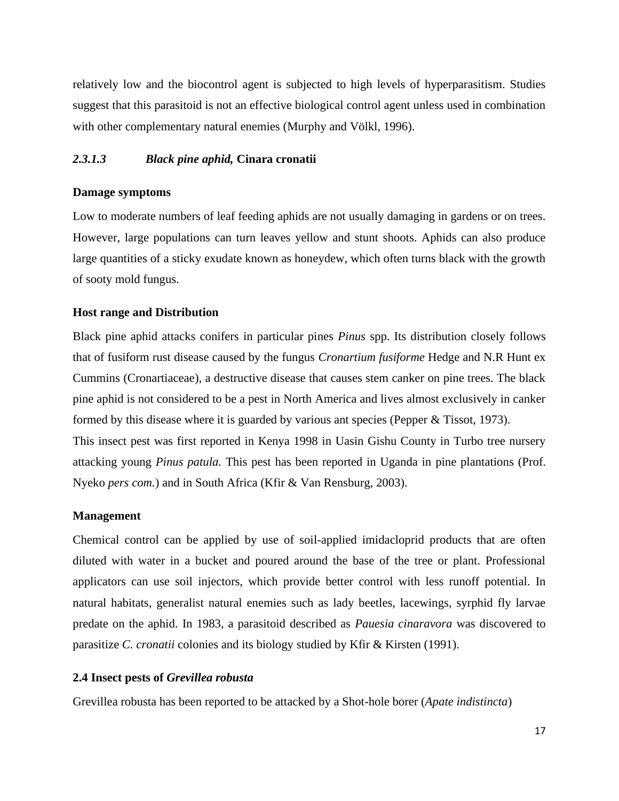relatively low and the biocontrol agent is subjected to high levels of hyperparasitism. Studies suggest that this parasitoid is not an effective biological control agent unless used in combination with other complementary natural enemies [\(Murphy and Völkl, 1996\)](https://www.cabi.org/isc/datasheet/23148#2FAD971B-0955-480B-8903-EA3D4077DBA1).

## <span id="page-20-0"></span>*2.3.1.3 Black pine aphid,* **Cinara cronatii**

#### **Damage symptoms**

Low to moderate numbers of leaf feeding aphids are not usually damaging in gardens or on trees. However, large populations can turn leaves yellow and stunt shoots. Aphids can also produce large quantities of a sticky exudate known as honeydew, which often turns black with the growth of sooty mold fungus.

#### **Host range and Distribution**

Black pine aphid attacks conifers in particular pines *Pinus* spp. Its distribution closely follows that of fusiform rust disease caused by the fungus *Cronartium fusiforme* Hedge and N.R Hunt ex Cummins (Cronartiaceae), a destructive disease that causes stem canker on pine trees. The black pine aphid is not considered to be a pest in North America and lives almost exclusively in canker formed by this disease where it is guarded by various ant species (Pepper & Tissot, 1973). This insect pest was first reported in Kenya 1998 in Uasin Gishu County in Turbo tree nursery attacking young *Pinus patula.* This pest has been reported in Uganda in pine plantations (Prof. Nyeko *pers com.*) and in South Africa (Kfir & Van Rensburg, 2003).

#### **Management**

Chemical control can be applied by use of soil-applied imidacloprid products that are often diluted with water in a bucket and poured around the base of the tree or plant. Professional applicators can use soil injectors, which provide better control with less runoff potential. In natural habitats, generalist natural enemies such as lady beetles, lacewings, syrphid fly larvae predate on the aphid. In 1983, a parasitoid described as *Pauesia cinaravora* was discovered to parasitize *C. cronatii* colonies and its biology studied by Kfir & Kirsten (1991).

#### <span id="page-20-1"></span>**2.4 Insect pests of** *Grevillea robusta*

Grevillea robusta has been reported to be attacked by a Shot-hole borer (*Apate indistincta*)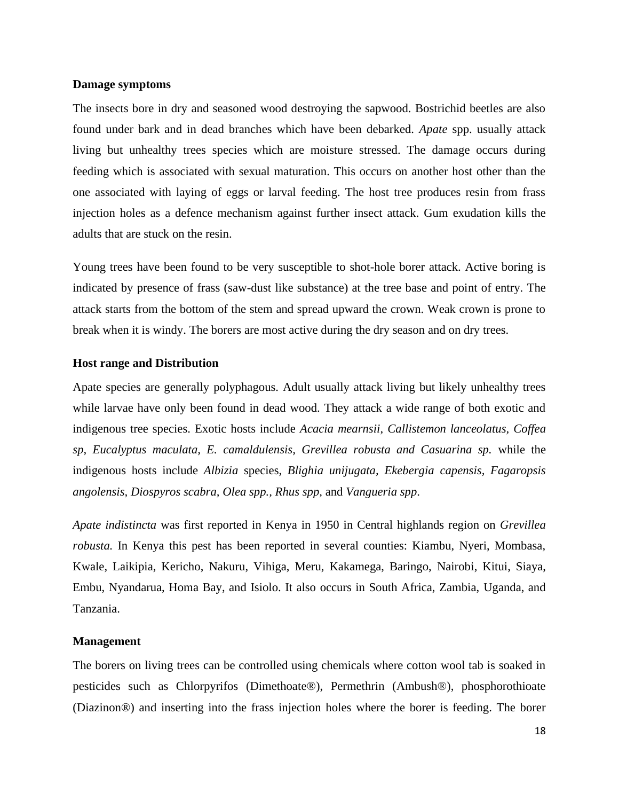#### **Damage symptoms**

The insects bore in dry and seasoned wood destroying the sapwood. Bostrichid beetles are also found under bark and in dead branches which have been debarked. *Apate* spp. usually attack living but unhealthy trees species which are moisture stressed. The damage occurs during feeding which is associated with sexual maturation. This occurs on another host other than the one associated with laying of eggs or larval feeding. The host tree produces resin from frass injection holes as a defence mechanism against further insect attack. Gum exudation kills the adults that are stuck on the resin.

Young trees have been found to be very susceptible to shot-hole borer attack. Active boring is indicated by presence of frass (saw-dust like substance) at the tree base and point of entry. The attack starts from the bottom of the stem and spread upward the crown. Weak crown is prone to break when it is windy. The borers are most active during the dry season and on dry trees.

## **Host range and Distribution**

Apate species are generally polyphagous. Adult usually attack living but likely unhealthy trees while larvae have only been found in dead wood. They attack a wide range of both exotic and indigenous tree species. Exotic hosts include *Acacia mearnsii*, *Callistemon lanceolatus, Coffea sp, Eucalyptus maculata, E. camaldulensis, Grevillea robusta and Casuarina sp.* while the indigenous hosts include *Albizia* species, *Blighia unijugata, Ekebergia capensis, Fagaropsis angolensis, Diospyros scabra, Olea spp., Rhus spp,* and *Vangueria spp*.

*Apate indistincta* was first reported in Kenya in 1950 in Central highlands region on *Grevillea robusta.* In Kenya this pest has been reported in several counties: Kiambu, Nyeri, Mombasa, Kwale, Laikipia, Kericho, Nakuru, Vihiga, Meru, Kakamega, Baringo, Nairobi, Kitui, Siaya, Embu, Nyandarua, Homa Bay, and Isiolo. It also occurs in South Africa, Zambia, Uganda, and Tanzania.

## **Management**

The borers on living trees can be controlled using chemicals where cotton wool tab is soaked in pesticides such as Chlorpyrifos (Dimethoate®), Permethrin (Ambush®), phosphorothioate (Diazinon®) and inserting into the frass injection holes where the borer is feeding. The borer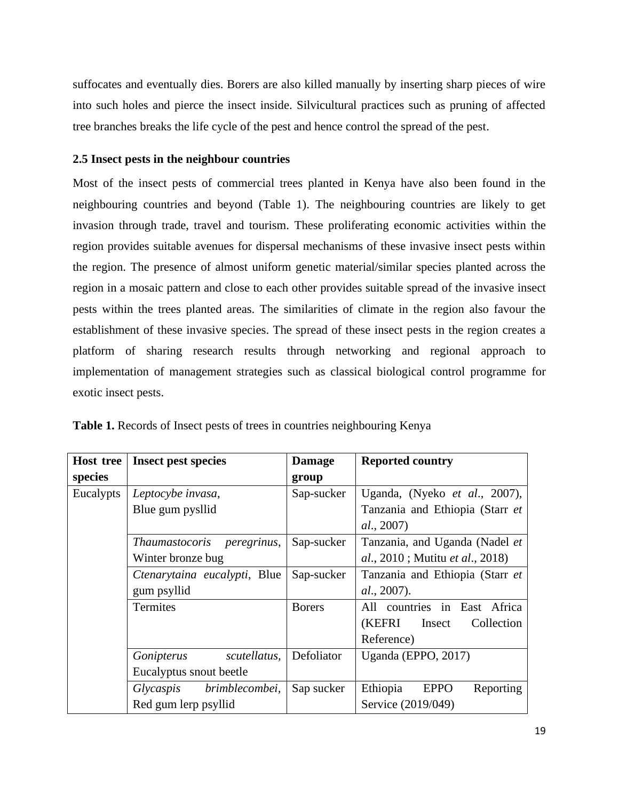suffocates and eventually dies. Borers are also killed manually by inserting sharp pieces of wire into such holes and pierce the insect inside. Silvicultural practices such as pruning of affected tree branches breaks the life cycle of the pest and hence control the spread of the pest.

## <span id="page-22-0"></span>**2.5 Insect pests in the neighbour countries**

Most of the insect pests of commercial trees planted in Kenya have also been found in the neighbouring countries and beyond (Table 1). The neighbouring countries are likely to get invasion through trade, travel and tourism. These proliferating economic activities within the region provides suitable avenues for dispersal mechanisms of these invasive insect pests within the region. The presence of almost uniform genetic material/similar species planted across the region in a mosaic pattern and close to each other provides suitable spread of the invasive insect pests within the trees planted areas. The similarities of climate in the region also favour the establishment of these invasive species. The spread of these insect pests in the region creates a platform of sharing research results through networking and regional approach to implementation of management strategies such as classical biological control programme for exotic insect pests.

| <b>Host tree</b> | <b>Insect pest species</b>   | <b>Damage</b> | <b>Reported country</b>                         |
|------------------|------------------------------|---------------|-------------------------------------------------|
| species          |                              | group         |                                                 |
| Eucalypts        | Leptocybe invasa,            | Sap-sucker    | Uganda, (Nyeko et al., 2007),                   |
|                  | Blue gum pysllid             |               | Tanzania and Ethiopia (Starr et                 |
|                  |                              |               | al., 2007)                                      |
|                  | Thaumastocoris peregrinus,   | Sap-sucker    | Tanzania, and Uganda (Nadel et                  |
|                  | Winter bronze bug            |               | <i>al.</i> , 2010; Mutitu <i>et al.</i> , 2018) |
|                  | Ctenarytaina eucalypti, Blue | Sap-sucker    | Tanzania and Ethiopia (Starr et                 |
|                  | gum psyllid                  |               | al., 2007).                                     |
|                  | Termites                     | <b>Borers</b> | All countries in East Africa                    |
|                  |                              |               | (KEFRI<br>Insect<br>Collection                  |
|                  |                              |               | Reference)                                      |
|                  | scutellatus,<br>Gonipterus   | Defoliator    | Uganda (EPPO, 2017)                             |
|                  | Eucalyptus snout beetle      |               |                                                 |
|                  | brimblecombei,<br>Glycaspis  | Sap sucker    | Ethiopia<br><b>EPPO</b><br>Reporting            |
|                  | Red gum lerp psyllid         |               | Service (2019/049)                              |

<span id="page-22-1"></span>**Table 1.** Records of Insect pests of trees in countries neighbouring Kenya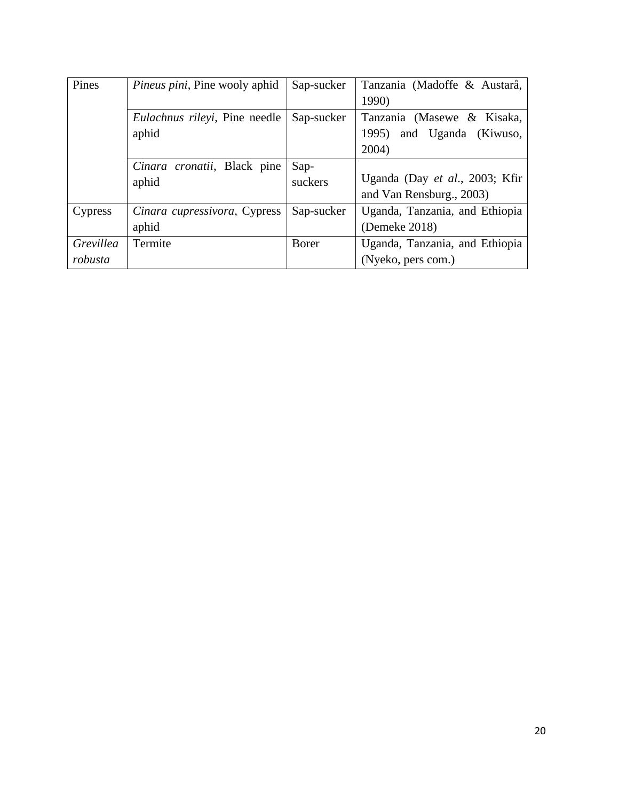| Pines     | <i>Pineus pini</i> , Pine wooly aphid | Sap-sucker | Tanzania (Madoffe & Austarå,   |
|-----------|---------------------------------------|------------|--------------------------------|
|           |                                       |            | 1990)                          |
|           | Eulachnus rileyi, Pine needle         | Sap-sucker | Tanzania (Masewe & Kisaka,     |
|           | aphid                                 |            | and Uganda (Kiwuso,<br>1995)   |
|           |                                       |            | 2004)                          |
|           | Cinara cronatii, Black pine           | Sap-       |                                |
|           | aphid                                 | suckers    | Uganda (Day et al., 2003; Kfir |
|           |                                       |            | and Van Rensburg., 2003)       |
| Cypress   | Cinara cupressivora, Cypress          | Sap-sucker | Uganda, Tanzania, and Ethiopia |
|           | aphid                                 |            | (Demeke 2018)                  |
| Grevillea | Termite                               | Borer      | Uganda, Tanzania, and Ethiopia |
| robusta   |                                       |            | (Nyeko, pers com.)             |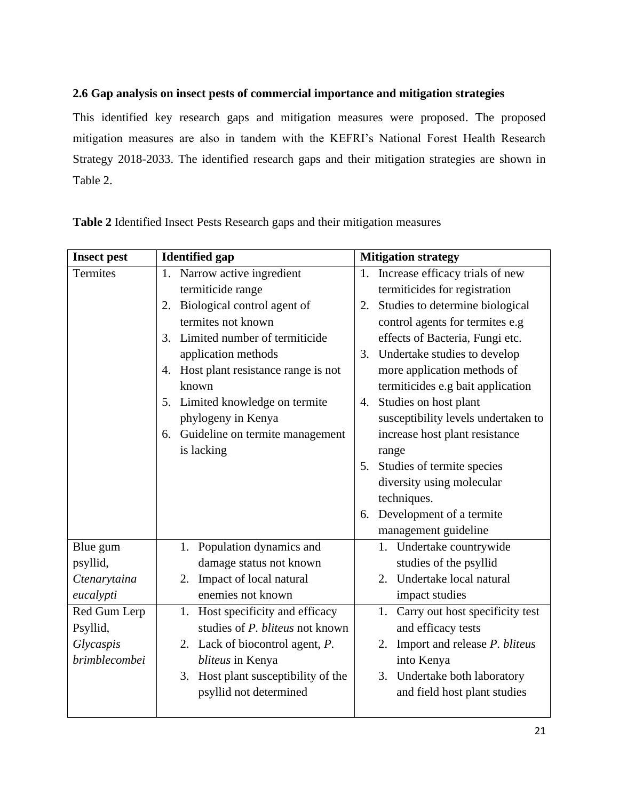# <span id="page-24-0"></span>**2.6 Gap analysis on insect pests of commercial importance and mitigation strategies**

This identified key research gaps and mitigation measures were proposed. The proposed mitigation measures are also in tandem with the KEFRI's National Forest Health Research Strategy 2018-2033. The identified research gaps and their mitigation strategies are shown in Table 2.

| <b>Insect pest</b>   | <b>Identified gap</b>                 | <b>Mitigation strategy</b>            |
|----------------------|---------------------------------------|---------------------------------------|
| <b>Termites</b>      | 1. Narrow active ingredient           | 1. Increase efficacy trials of new    |
|                      | termiticide range                     | termiticides for registration         |
|                      | 2. Biological control agent of        | Studies to determine biological<br>2. |
|                      | termites not known                    | control agents for termites e.g       |
|                      | 3. Limited number of termiticide      | effects of Bacteria, Fungi etc.       |
|                      | application methods                   | Undertake studies to develop<br>3.    |
|                      | 4. Host plant resistance range is not | more application methods of           |
|                      | known                                 | termiticides e.g bait application     |
|                      | 5. Limited knowledge on termite       | Studies on host plant<br>4.           |
|                      | phylogeny in Kenya                    | susceptibility levels undertaken to   |
|                      | 6. Guideline on termite management    | increase host plant resistance        |
|                      | is lacking                            | range                                 |
|                      |                                       | Studies of termite species<br>5.      |
|                      |                                       | diversity using molecular             |
|                      |                                       | techniques.                           |
|                      |                                       | 6. Development of a termite           |
|                      |                                       | management guideline                  |
| Blue gum             | 1. Population dynamics and            | 1. Undertake countrywide              |
| psyllid,             | damage status not known               | studies of the psyllid                |
| Ctenarytaina         | 2. Impact of local natural            | 2. Undertake local natural            |
| eucalypti            | enemies not known                     | impact studies                        |
| Red Gum Lerp         | Host specificity and efficacy<br>1.   | Carry out host specificity test<br>1. |
| Psyllid,             | studies of P. bliteus not known       | and efficacy tests                    |
| Glycaspis            | 2. Lack of biocontrol agent, P.       | Import and release P. bliteus<br>2.   |
| <i>brimblecombei</i> | bliteus in Kenya                      | into Kenya                            |
|                      | 3. Host plant susceptibility of the   | 3. Undertake both laboratory          |
|                      | psyllid not determined                | and field host plant studies          |
|                      |                                       |                                       |

<span id="page-24-1"></span>**Table 2** Identified Insect Pests Research gaps and their mitigation measures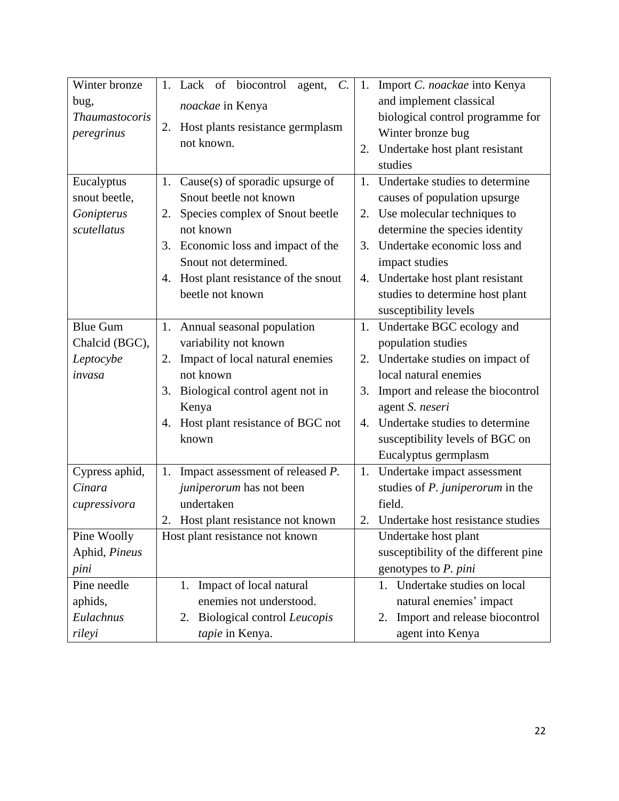| Winter bronze<br>bug,                     | 1. Lack of biocontrol<br>agent, $C$ .    | Import C. noackae into Kenya<br>1.<br>and implement classical |
|-------------------------------------------|------------------------------------------|---------------------------------------------------------------|
| noackae in Kenya<br><b>Thaumastocoris</b> |                                          | biological control programme for                              |
| peregrinus                                | 2. Host plants resistance germplasm      | Winter bronze bug                                             |
|                                           | not known.                               | Undertake host plant resistant<br>2.                          |
|                                           |                                          | studies                                                       |
| Eucalyptus                                | 1. Cause(s) of sporadic upsurge of       | Undertake studies to determine<br>$1_{-}$                     |
| snout beetle,                             | Snout beetle not known                   | causes of population upsurge                                  |
| Gonipterus                                | 2. Species complex of Snout beetle       | Use molecular techniques to<br>2.                             |
| scutellatus                               | not known                                | determine the species identity                                |
|                                           | 3. Economic loss and impact of the       | Undertake economic loss and<br>3.                             |
|                                           | Snout not determined.                    | impact studies                                                |
|                                           | Host plant resistance of the snout<br>4. | Undertake host plant resistant<br>4.                          |
|                                           | beetle not known                         | studies to determine host plant                               |
|                                           |                                          | susceptibility levels                                         |
| <b>Blue Gum</b>                           | 1. Annual seasonal population            | Undertake BGC ecology and<br>1.                               |
| Chalcid (BGC),                            | variability not known                    | population studies                                            |
| Leptocybe                                 | Impact of local natural enemies<br>2.    | Undertake studies on impact of<br>2.                          |
| invasa                                    | not known                                | local natural enemies                                         |
|                                           | 3. Biological control agent not in       | Import and release the biocontrol<br>3.                       |
|                                           | Kenya                                    | agent S. neseri                                               |
|                                           | 4. Host plant resistance of BGC not      | Undertake studies to determine<br>4.                          |
|                                           | known                                    | susceptibility levels of BGC on                               |
|                                           |                                          | Eucalyptus germplasm                                          |
| Cypress aphid,                            | 1. Impact assessment of released P.      | Undertake impact assessment<br>1.                             |
| Cinara                                    | juniperorum has not been                 | studies of P. juniperorum in the                              |
| cupressivora                              | undertaken                               | field.                                                        |
|                                           | 2. Host plant resistance not known       | 2. Undertake host resistance studies                          |
| Pine Woolly                               | Host plant resistance not known          | Undertake host plant                                          |
| Aphid, Pineus                             |                                          | susceptibility of the different pine                          |
| pini                                      |                                          | genotypes to P. pini                                          |
| Pine needle                               | Impact of local natural<br>1.            | Undertake studies on local<br>1.                              |
| aphids,                                   | enemies not understood.                  | natural enemies' impact                                       |
| Eulachnus                                 | Biological control Leucopis<br>2.        | Import and release biocontrol<br>2.                           |
| rileyi                                    | tapie in Kenya.                          | agent into Kenya                                              |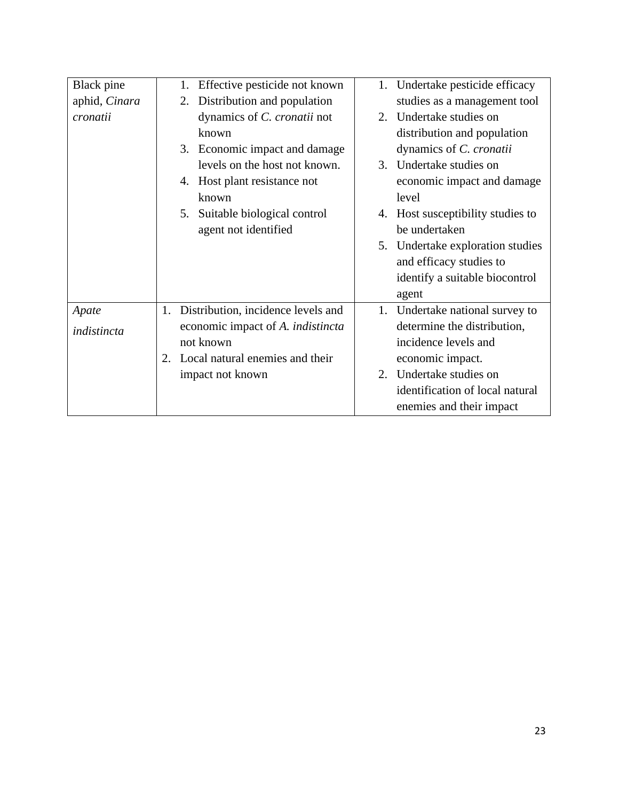| <b>Black</b> pine | Effective pesticide not known<br>1.<br>1.      | Undertake pesticide efficacy      |
|-------------------|------------------------------------------------|-----------------------------------|
| aphid, Cinara     | Distribution and population<br>2.              | studies as a management tool      |
| cronatii          | dynamics of C. cronatii not                    | 2. Undertake studies on           |
|                   | known                                          | distribution and population       |
|                   | 3. Economic impact and damage                  | dynamics of C. cronatii           |
|                   | levels on the host not known.<br>3.            | Undertake studies on              |
|                   | 4. Host plant resistance not                   | economic impact and damage        |
|                   | known                                          | level                             |
|                   | Suitable biological control<br>5.              | 4. Host susceptibility studies to |
|                   | agent not identified                           | be undertaken                     |
|                   |                                                | 5. Undertake exploration studies  |
|                   |                                                | and efficacy studies to           |
|                   |                                                | identify a suitable biocontrol    |
|                   |                                                | agent                             |
| Apate             | Distribution, incidence levels and<br>1.<br>1. | Undertake national survey to      |
| indistincta       | economic impact of A. <i>indistincta</i>       | determine the distribution,       |
|                   | not known                                      | incidence levels and              |
|                   | Local natural enemies and their<br>2.          | economic impact.                  |
|                   | impact not known                               | 2. Undertake studies on           |
|                   |                                                | identification of local natural   |
|                   |                                                | enemies and their impact          |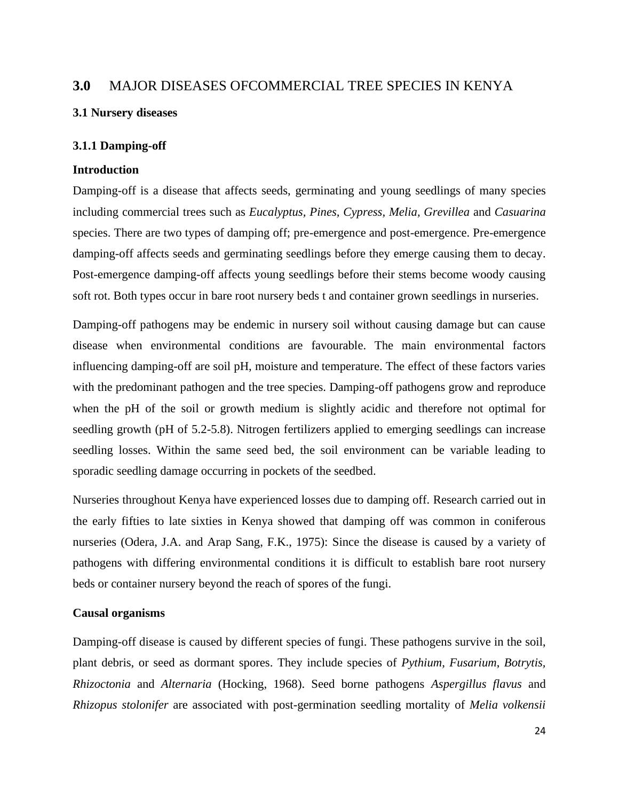# <span id="page-27-0"></span>**3.0** MAJOR DISEASES OFCOMMERCIAL TREE SPECIES IN KENYA

## <span id="page-27-1"></span>**3.1 Nursery diseases**

## <span id="page-27-2"></span>**3.1.1 Damping-off**

## **Introduction**

Damping-off is a disease that affects seeds, germinating and young seedlings of many species including commercial trees such as *Eucalyptus, Pines, Cypress, Melia, Grevillea* and *Casuarina*  species. There are two types of damping off; pre-emergence and post-emergence. Pre-emergence damping-off affects seeds and germinating seedlings before they emerge causing them to decay. Post-emergence damping-off affects young seedlings before their stems become woody causing soft rot. Both types occur in bare root nursery beds t and container grown seedlings in nurseries.

Damping-off pathogens may be endemic in nursery soil without causing damage but can cause disease when environmental conditions are favourable. The main environmental factors influencing damping-off are soil pH, moisture and temperature. The effect of these factors varies with the predominant pathogen and the tree species. Damping-off pathogens grow and reproduce when the pH of the soil or growth medium is slightly acidic and therefore not optimal for seedling growth (pH of 5.2-5.8). Nitrogen fertilizers applied to emerging seedlings can increase seedling losses. Within the same seed bed, the soil environment can be variable leading to sporadic seedling damage occurring in pockets of the seedbed.

Nurseries throughout Kenya have experienced losses due to damping off. Research carried out in the early fifties to late sixties in Kenya showed that damping off was common in coniferous nurseries (Odera, J.A. and Arap Sang, F.K., 1975): Since the disease is caused by a variety of pathogens with differing environmental conditions it is difficult to establish bare root nursery beds or container nursery beyond the reach of spores of the fungi.

## **Causal organisms**

Damping-off disease is caused by different species of fungi. These pathogens survive in the soil, plant debris, or seed as dormant spores. They include species of *Pythium*, *Fusarium*, *Botrytis, Rhizoctonia* and *Alternaria* (Hocking, 1968). Seed borne pathogens *Aspergillus flavus* and *Rhizopus stolonifer* are associated with post-germination seedling mortality of *Melia volkensii*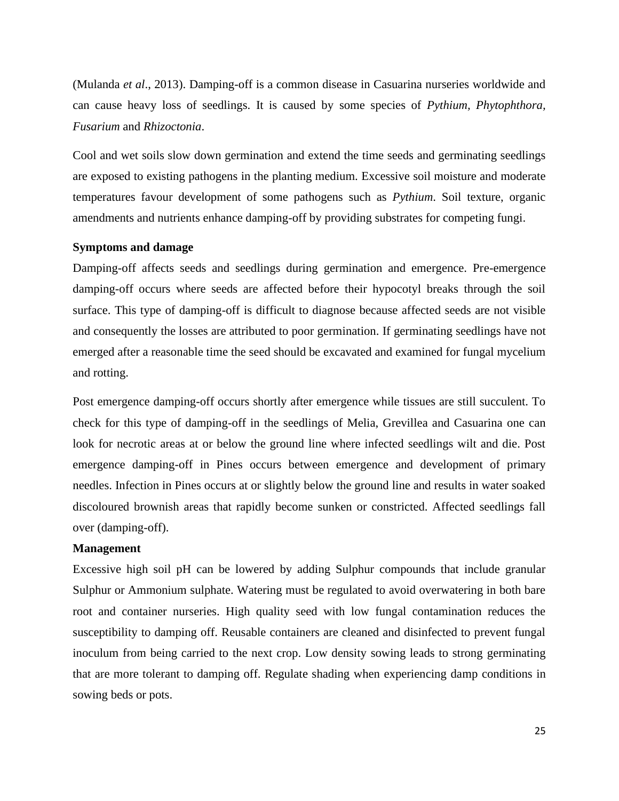(Mulanda *et al*., 2013). Damping-off is a common disease in Casuarina nurseries worldwide and can cause heavy loss of seedlings. It is caused by some species of *Pythium, Phytophthora, Fusarium* and *Rhizoctonia*.

Cool and wet soils slow down germination and extend the time seeds and germinating seedlings are exposed to existing pathogens in the planting medium. Excessive soil moisture and moderate temperatures favour development of some pathogens such as *Pythium*. Soil texture, organic amendments and nutrients enhance damping-off by providing substrates for competing fungi.

## **Symptoms and damage**

Damping-off affects seeds and seedlings during germination and emergence. Pre-emergence damping-off occurs where seeds are affected before their hypocotyl breaks through the soil surface. This type of damping-off is difficult to diagnose because affected seeds are not visible and consequently the losses are attributed to poor germination. If germinating seedlings have not emerged after a reasonable time the seed should be excavated and examined for fungal mycelium and rotting.

Post emergence damping-off occurs shortly after emergence while tissues are still succulent. To check for this type of damping-off in the seedlings of Melia, Grevillea and Casuarina one can look for necrotic areas at or below the ground line where infected seedlings wilt and die. Post emergence damping-off in Pines occurs between emergence and development of primary needles. Infection in Pines occurs at or slightly below the ground line and results in water soaked discoloured brownish areas that rapidly become sunken or constricted. Affected seedlings fall over (damping-off).

## **Management**

Excessive high soil pH can be lowered by adding Sulphur compounds that include granular Sulphur or Ammonium sulphate. Watering must be regulated to avoid overwatering in both bare root and container nurseries. High quality seed with low fungal contamination reduces the susceptibility to damping off. Reusable containers are cleaned and disinfected to prevent fungal inoculum from being carried to the next crop. Low density sowing leads to strong germinating that are more tolerant to damping off. Regulate shading when experiencing damp conditions in sowing beds or pots.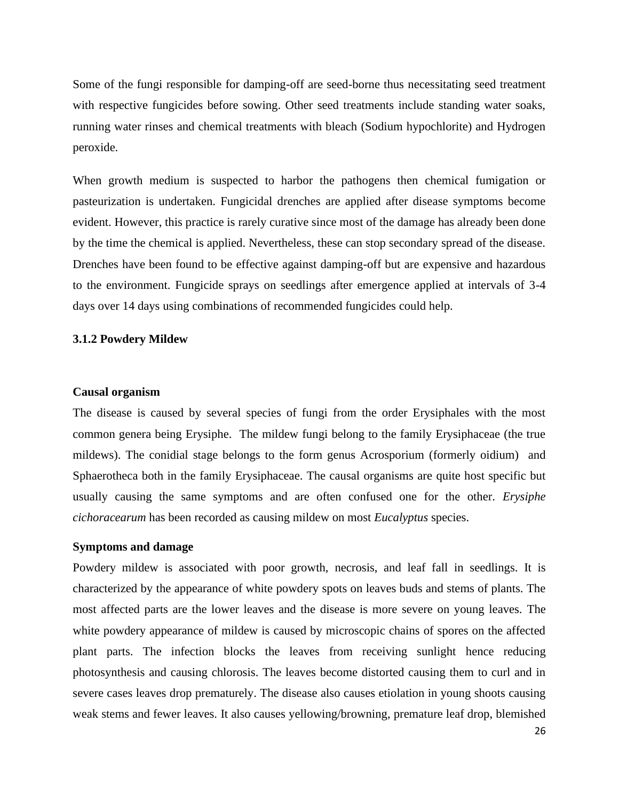Some of the fungi responsible for damping-off are seed-borne thus necessitating seed treatment with respective fungicides before sowing. Other seed treatments include standing water soaks, running water rinses and chemical treatments with bleach (Sodium hypochlorite) and Hydrogen peroxide.

When growth medium is suspected to harbor the pathogens then chemical fumigation or pasteurization is undertaken. Fungicidal drenches are applied after disease symptoms become evident. However, this practice is rarely curative since most of the damage has already been done by the time the chemical is applied. Nevertheless, these can stop secondary spread of the disease. Drenches have been found to be effective against damping-off but are expensive and hazardous to the environment. Fungicide sprays on seedlings after emergence applied at intervals of 3-4 days over 14 days using combinations of recommended fungicides could help.

## <span id="page-29-0"></span>**3.1.2 Powdery Mildew**

#### **Causal organism**

The disease is caused by several species of fungi from the order Erysiphales with the most common genera being Erysiphe. The mildew fungi belong to the family Erysiphaceae (the true mildews). The conidial stage belongs to the form genus Acrosporium (formerly oidium) and Sphaerotheca both in the family Erysiphaceae. The causal organisms are quite host specific but usually causing the same symptoms and are often confused one for the other. *Erysiphe cichoracearum* has been recorded as causing mildew on most *Eucalyptus* species.

#### **Symptoms and damage**

Powdery mildew is associated with poor growth, necrosis, and leaf fall in seedlings. It is characterized by the appearance of white powdery spots on leaves buds and stems of plants. The most affected parts are the lower leaves and the disease is more severe on young leaves. The white powdery appearance of mildew is caused by microscopic chains of spores on the affected plant parts. The infection blocks the leaves from receiving sunlight hence reducing photosynthesis and causing chlorosis. The leaves become distorted causing them to curl and in severe cases leaves drop prematurely. The disease also causes etiolation in young shoots causing weak stems and fewer leaves. It also causes yellowing/browning, premature leaf drop, blemished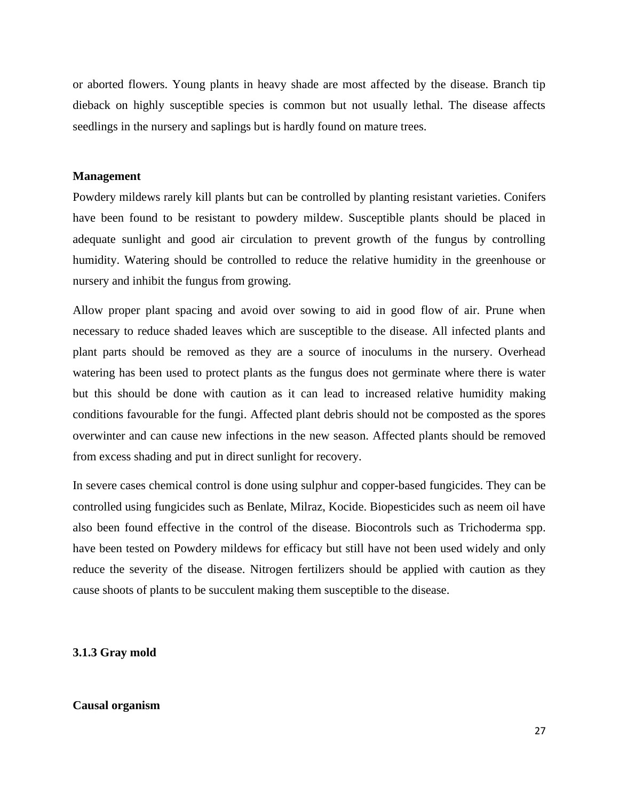or aborted flowers. Young plants in heavy shade are most affected by the disease. Branch tip dieback on highly susceptible species is common but not usually lethal. The disease affects seedlings in the nursery and saplings but is hardly found on mature trees.

#### **Management**

Powdery mildews rarely kill plants but can be controlled by planting resistant varieties. Conifers have been found to be resistant to powdery mildew. Susceptible plants should be placed in adequate sunlight and good air circulation to prevent growth of the fungus by controlling humidity. Watering should be controlled to reduce the relative humidity in the greenhouse or nursery and inhibit the fungus from growing.

Allow proper plant spacing and avoid over sowing to aid in good flow of air. Prune when necessary to reduce shaded leaves which are susceptible to the disease. All infected plants and plant parts should be removed as they are a source of inoculums in the nursery. Overhead watering has been used to protect plants as the fungus does not germinate where there is water but this should be done with caution as it can lead to increased relative humidity making conditions favourable for the fungi. Affected plant debris should not be composted as the spores overwinter and can cause new infections in the new season. Affected plants should be removed from excess shading and put in direct sunlight for recovery.

In severe cases chemical control is done using sulphur and copper-based fungicides. They can be controlled using fungicides such as Benlate, Milraz, Kocide. Biopesticides such as neem oil have also been found effective in the control of the disease. Biocontrols such as Trichoderma spp. have been tested on Powdery mildews for efficacy but still have not been used widely and only reduce the severity of the disease. Nitrogen fertilizers should be applied with caution as they cause shoots of plants to be succulent making them susceptible to the disease.

#### <span id="page-30-0"></span>**3.1.3 Gray mold**

#### **Causal organism**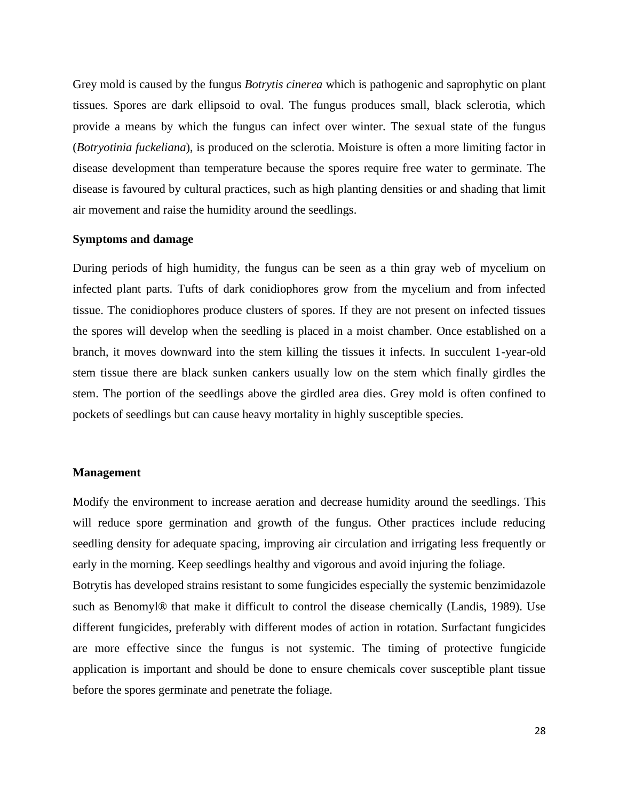Grey mold is caused by the fungus *Botrytis cinerea* which is pathogenic and saprophytic on plant tissues. Spores are dark ellipsoid to oval. The fungus produces small, black sclerotia, which provide a means by which the fungus can infect over winter. The sexual state of the fungus (*Botryotinia fuckeliana*), is produced on the sclerotia. Moisture is often a more limiting factor in disease development than temperature because the spores require free water to germinate. The disease is favoured by cultural practices, such as high planting densities or and shading that limit air movement and raise the humidity around the seedlings.

#### **Symptoms and damage**

During periods of high humidity, the fungus can be seen as a thin gray web of mycelium on infected plant parts. Tufts of dark conidiophores grow from the mycelium and from infected tissue. The conidiophores produce clusters of spores. If they are not present on infected tissues the spores will develop when the seedling is placed in a moist chamber. Once established on a branch, it moves downward into the stem killing the tissues it infects. In succulent 1-year-old stem tissue there are black sunken cankers usually low on the stem which finally girdles the stem. The portion of the seedlings above the girdled area dies. Grey mold is often confined to pockets of seedlings but can cause heavy mortality in highly susceptible species.

## **Management**

Modify the environment to increase aeration and decrease humidity around the seedlings. This will reduce spore germination and growth of the fungus. Other practices include reducing seedling density for adequate spacing, improving air circulation and irrigating less frequently or early in the morning. Keep seedlings healthy and vigorous and avoid injuring the foliage.

Botrytis has developed strains resistant to some fungicides especially the systemic benzimidazole such as Benomyl® that make it difficult to control the disease chemically (Landis, 1989). Use different fungicides, preferably with different modes of action in rotation. Surfactant fungicides are more effective since the fungus is not systemic. The timing of protective fungicide application is important and should be done to ensure chemicals cover susceptible plant tissue before the spores germinate and penetrate the foliage.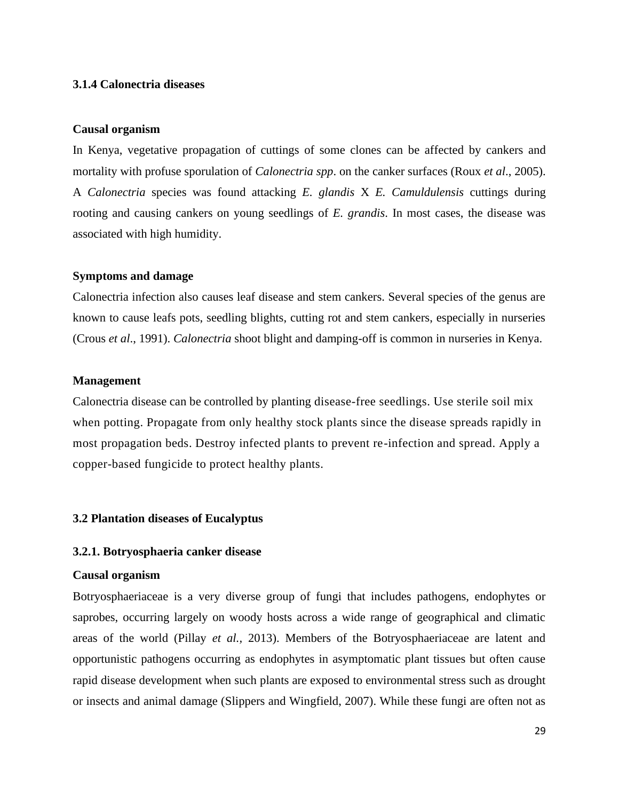## <span id="page-32-0"></span>**3.1.4 Calonectria diseases**

#### **Causal organism**

In Kenya, vegetative propagation of cuttings of some clones can be affected by cankers and mortality with profuse sporulation of *Calonectria spp*. on the canker surfaces (Roux *et al*., 2005). A *Calonectria* species was found attacking *E. glandis* X *E. Camuldulensis* cuttings during rooting and causing cankers on young seedlings of *E. grandis*. In most cases, the disease was associated with high humidity.

#### **Symptoms and damage**

Calonectria infection also causes leaf disease and stem cankers. Several species of the genus are known to cause leafs pots, seedling blights, cutting rot and stem cankers, especially in nurseries (Crous *et al*., 1991). *Calonectria* shoot blight and damping-off is common in nurseries in Kenya.

## **Management**

Calonectria disease can be controlled by planting disease-free seedlings. Use sterile soil mix when potting. Propagate from only healthy stock plants since the disease spreads rapidly in most propagation beds. Destroy infected plants to prevent re-infection and spread. Apply a copper-based fungicide to protect healthy plants.

#### <span id="page-32-1"></span>**3.2 Plantation diseases of Eucalyptus**

#### <span id="page-32-2"></span>**3.2.1. Botryosphaeria canker disease**

#### **Causal organism**

Botryosphaeriaceae is a very diverse group of fungi that includes pathogens, endophytes or saprobes, occurring largely on woody hosts across a wide range of geographical and climatic areas of the world (Pillay *et al.,* 2013). Members of the Botryosphaeriaceae are latent and opportunistic pathogens occurring as endophytes in asymptomatic plant tissues but often cause rapid disease development when such plants are exposed to environmental stress such as drought or insects and animal damage (Slippers and Wingfield, 2007). While these fungi are often not as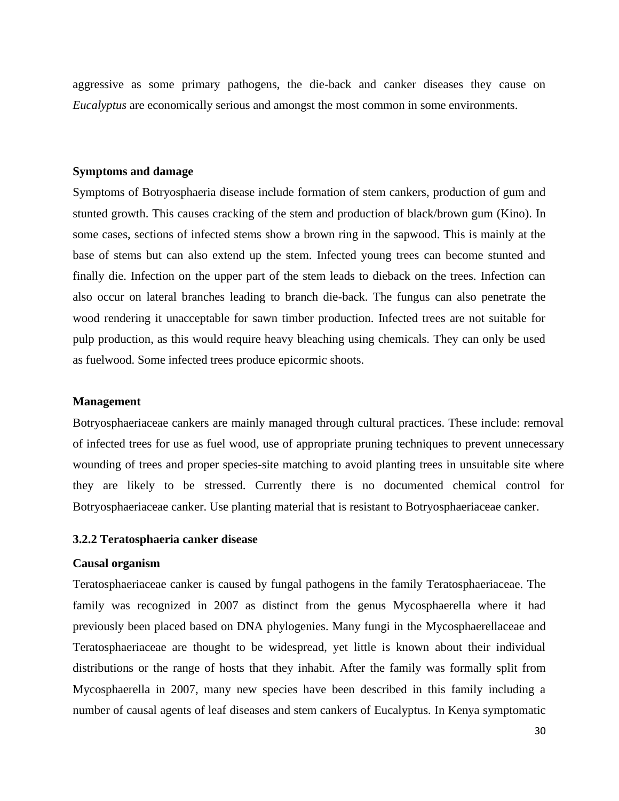aggressive as some primary pathogens, the die-back and canker diseases they cause on *Eucalyptus* are economically serious and amongst the most common in some environments.

#### **Symptoms and damage**

Symptoms of Botryosphaeria disease include formation of stem cankers, production of gum and stunted growth. This causes cracking of the stem and production of black/brown gum (Kino). In some cases, sections of infected stems show a brown ring in the sapwood. This is mainly at the base of stems but can also extend up the stem. Infected young trees can become stunted and finally die. Infection on the upper part of the stem leads to dieback on the trees. Infection can also occur on lateral branches leading to branch die-back. The fungus can also penetrate the wood rendering it unacceptable for sawn timber production. Infected trees are not suitable for pulp production, as this would require heavy bleaching using chemicals. They can only be used as fuelwood. Some infected trees produce epicormic shoots.

#### **Management**

Botryosphaeriaceae cankers are mainly managed through cultural practices. These include: removal of infected trees for use as fuel wood, use of appropriate pruning techniques to prevent unnecessary wounding of trees and proper species-site matching to avoid planting trees in unsuitable site where they are likely to be stressed. Currently there is no documented chemical control for Botryosphaeriaceae canker. Use planting material that is resistant to Botryosphaeriaceae canker.

## <span id="page-33-0"></span>**3.2.2 Teratosphaeria canker disease**

## **Causal organism**

Teratosphaeriaceae canker is caused by fungal pathogens in the family Teratosphaeriaceae. The family was recognized in 2007 as distinct from the genus [Mycosphaerella](https://en.wikipedia.org/wiki/Mycosphaerella) where it had previously been placed based on DNA phylogenies. Many fungi in the [Mycosphaerellaceae](https://en.wikipedia.org/wiki/Mycosphaerellaceae) and Teratosphaeriaceae are thought to be widespread, yet little is known about their individual distributions or the range of hosts that they inhabit. After the family was formally split from [Mycosphaerella](https://en.wikipedia.org/wiki/Mycosphaerella) in 2007, many new species have been described in this family including a number of causal agents of leaf diseases and stem cankers of [Eucalyptus.](https://en.wikipedia.org/wiki/Eucalyptus) In Kenya symptomatic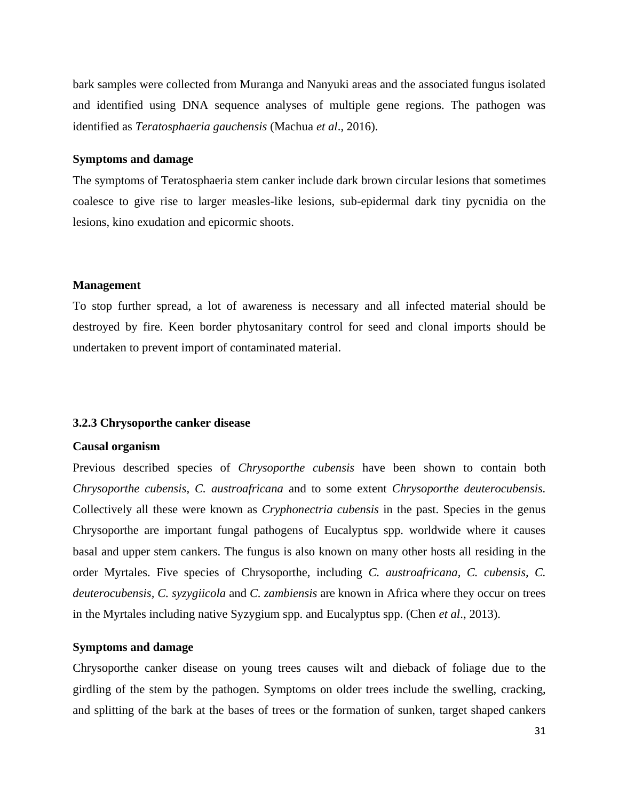bark samples were collected from Muranga and Nanyuki areas and the associated fungus isolated and identified using DNA sequence analyses of multiple gene regions. The pathogen was identified as *Teratosphaeria gauchensis* (Machua *et al*., 2016).

## **Symptoms and damage**

The symptoms of Teratosphaeria stem canker include dark brown circular lesions that sometimes coalesce to give rise to larger measles-like lesions, sub-epidermal dark tiny pycnidia on the lesions, kino exudation and epicormic shoots.

#### **Management**

To stop further spread, a lot of awareness is necessary and all infected material should be destroyed by fire. Keen border phytosanitary control for seed and clonal imports should be undertaken to prevent import of contaminated material.

#### <span id="page-34-0"></span>**3.2.3 Chrysoporthe canker disease**

#### **Causal organism**

Previous described species of *Chrysoporthe cubensis* have been shown to contain both *Chrysoporthe cubensis, C. austroafricana* and to some extent *Chrysoporthe deuterocubensis.* Collectively all these were known as *Cryphonectria cubensis* in the past. Species in the genus Chrysoporthe are important fungal pathogens of Eucalyptus spp. worldwide where it causes basal and upper stem cankers. The fungus is also known on many other hosts all residing in the order Myrtales. Five species of Chrysoporthe, including *C. austroafricana, C. cubensis, C. deuterocubensis, C. syzygiicola* and *C. zambiensis* are known in Africa where they occur on trees in the Myrtales including native Syzygium spp. and Eucalyptus spp. (Chen *et al*., 2013).

## **Symptoms and damage**

Chrysoporthe canker disease on young trees causes wilt and dieback of foliage due to the girdling of the stem by the pathogen. Symptoms on older trees include the swelling, cracking, and splitting of the bark at the bases of trees or the formation of sunken, target shaped cankers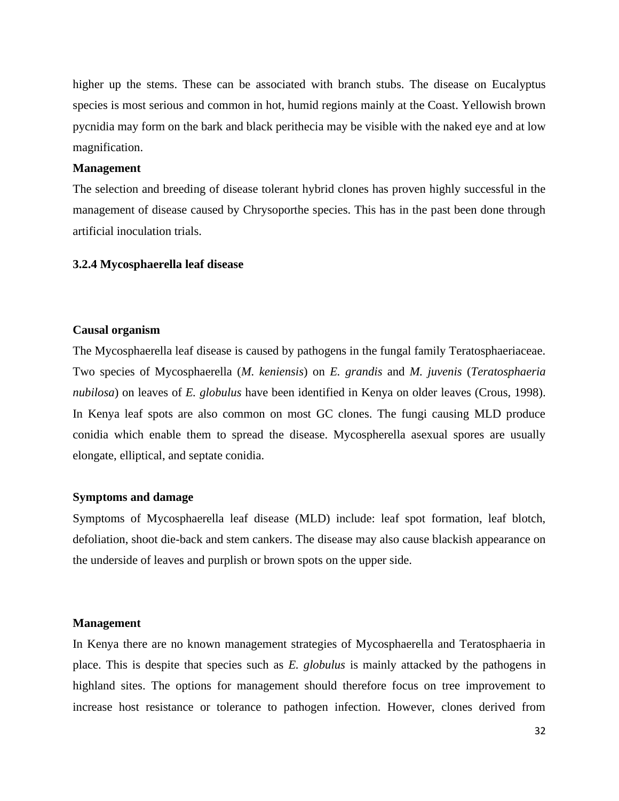higher up the stems. These can be associated with branch stubs. The disease on Eucalyptus species is most serious and common in hot, humid regions mainly at the Coast. Yellowish brown pycnidia may form on the bark and black perithecia may be visible with the naked eye and at low magnification.

## **Management**

The selection and breeding of disease tolerant hybrid clones has proven highly successful in the management of disease caused by Chrysoporthe species. This has in the past been done through artificial inoculation trials.

## <span id="page-35-0"></span>**3.2.4 Mycosphaerella leaf disease**

## **Causal organism**

The Mycosphaerella leaf disease is caused by pathogens in the fungal family Teratosphaeriaceae. Two species of Mycosphaerella (*M. keniensis*) on *E. grandis* and *M. juvenis* (*Teratosphaeria nubilosa*) on leaves of *E. globulus* have been identified in Kenya on older leaves (Crous, 1998). In Kenya leaf spots are also common on most GC clones. The fungi causing MLD produce conidia which enable them to spread the disease. Mycospherella asexual spores are usually elongate, elliptical, and septate conidia.

### **Symptoms and damage**

Symptoms of Mycosphaerella leaf disease (MLD) include: leaf spot formation, leaf blotch, defoliation, shoot die-back and stem cankers. The disease may also cause blackish appearance on the underside of leaves and purplish or brown spots on the upper side.

#### **Management**

In Kenya there are no known management strategies of Mycosphaerella and Teratosphaeria in place. This is despite that species such as *E. globulus* is mainly attacked by the pathogens in highland sites. The options for management should therefore focus on tree improvement to increase host resistance or tolerance to pathogen infection. However, clones derived from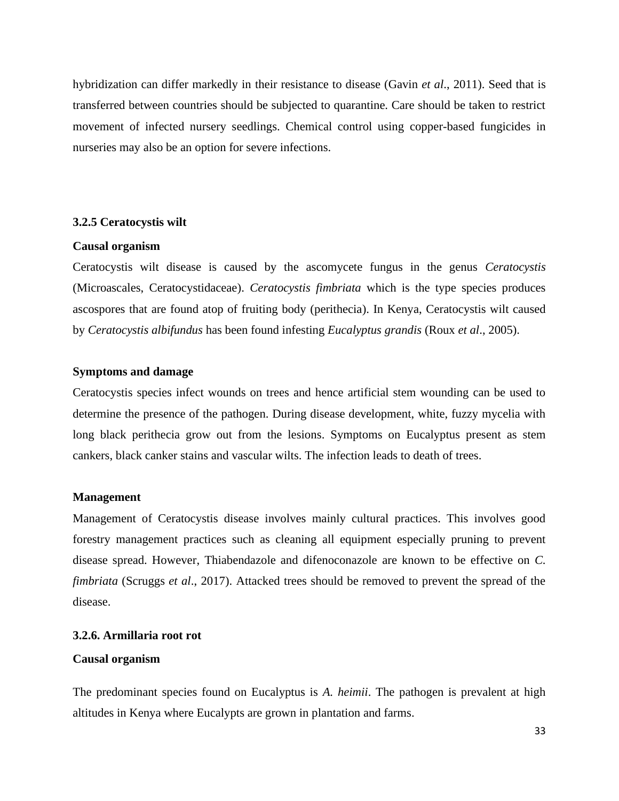hybridization can differ markedly in their resistance to disease (Gavin *et al*., 2011). Seed that is transferred between countries should be subjected to quarantine. Care should be taken to restrict movement of infected nursery seedlings. Chemical control using copper-based fungicides in nurseries may also be an option for severe infections.

## <span id="page-36-0"></span>**3.2.5 Ceratocystis wilt**

#### **Causal organism**

Ceratocystis wilt disease is caused by the ascomycete fungus in the genus *Ceratocystis* (Microascales, Ceratocystidaceae). *Ceratocystis fimbriata* which is the type species produces ascospores that are found atop of fruiting body (perithecia). In Kenya, Ceratocystis wilt caused by *Ceratocystis albifundus* has been found infesting *Eucalyptus grandis* (Roux *et al*., 2005).

#### **Symptoms and damage**

Ceratocystis species infect wounds on trees and hence artificial stem wounding can be used to determine the presence of the pathogen. During disease development, white, fuzzy mycelia with long black perithecia grow out from the lesions. Symptoms on Eucalyptus present as stem cankers, black canker stains and vascular wilts. The infection leads to death of trees.

### **Management**

Management of Ceratocystis disease involves mainly cultural practices. This involves good forestry management practices such as cleaning all equipment especially pruning to prevent disease spread. However, Thiabendazole and difenoconazole are known to be effective on *C. fimbriata* (Scruggs *et al*., 2017). Attacked trees should be removed to prevent the spread of the disease.

## <span id="page-36-1"></span>**3.2.6. Armillaria root rot**

## **Causal organism**

The predominant species found on Eucalyptus is *A. heimii*. The pathogen is prevalent at high altitudes in Kenya where Eucalypts are grown in plantation and farms.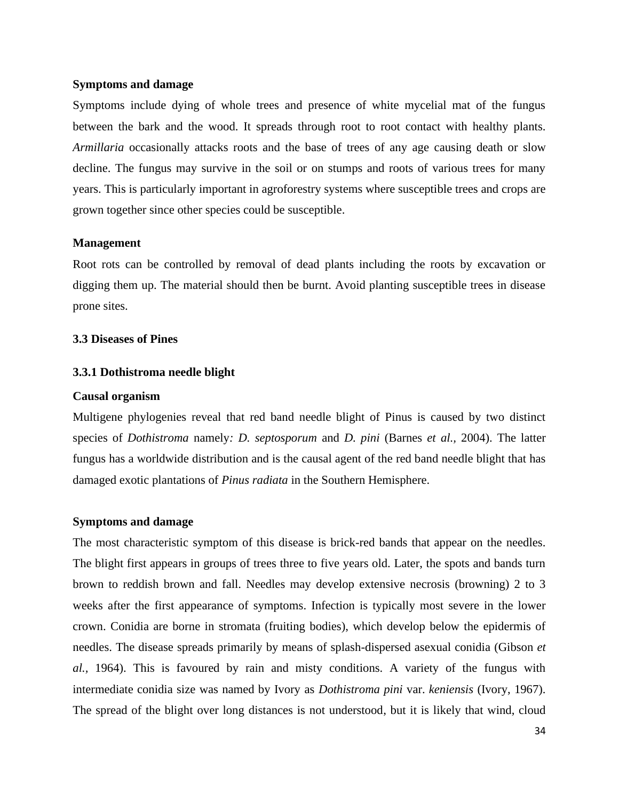## **Symptoms and damage**

Symptoms include dying of whole trees and presence of white mycelial mat of the fungus between the bark and the wood. It spreads through root to root contact with healthy plants. *Armillaria* occasionally attacks roots and the base of trees of any age causing death or slow decline. The fungus may survive in the soil or on stumps and roots of various trees for many years. This is particularly important in agroforestry systems where susceptible trees and crops are grown together since other species could be susceptible.

#### **Management**

Root rots can be controlled by removal of dead plants including the roots by excavation or digging them up. The material should then be burnt. Avoid planting susceptible trees in disease prone sites.

## <span id="page-37-0"></span>**3.3 Diseases of Pines**

#### <span id="page-37-1"></span>**3.3.1 Dothistroma needle blight**

#### **Causal organism**

Multigene phylogenies reveal that red band needle blight of Pinus is caused by two distinct species of *Dothistroma* namely*: D. septosporum* and *D. pini* (Barnes *et al.,* 2004). The latter fungus has a worldwide distribution and is the causal agent of the red band needle blight that has damaged exotic plantations of *Pinus radiata* in the Southern Hemisphere.

#### **Symptoms and damage**

The most characteristic symptom of this disease is brick-red bands that appear on the needles. The blight first appears in groups of trees three to five years old. Later, the spots and bands turn brown to reddish brown and fall. Needles may develop extensive necrosis (browning) 2 to 3 weeks after the first appearance of symptoms. Infection is typically most severe in the lower crown. Conidia are borne in stromata (fruiting bodies), which develop below the epidermis of needles. The disease spreads primarily by means of splash-dispersed asexual conidia (Gibson *et al.,* 1964). This is favoured by rain and misty conditions. A variety of the fungus with intermediate conidia size was named by Ivory as *Dothistroma pini* var. *keniensis* (Ivory, 1967). The spread of the blight over long distances is not understood, but it is likely that wind, cloud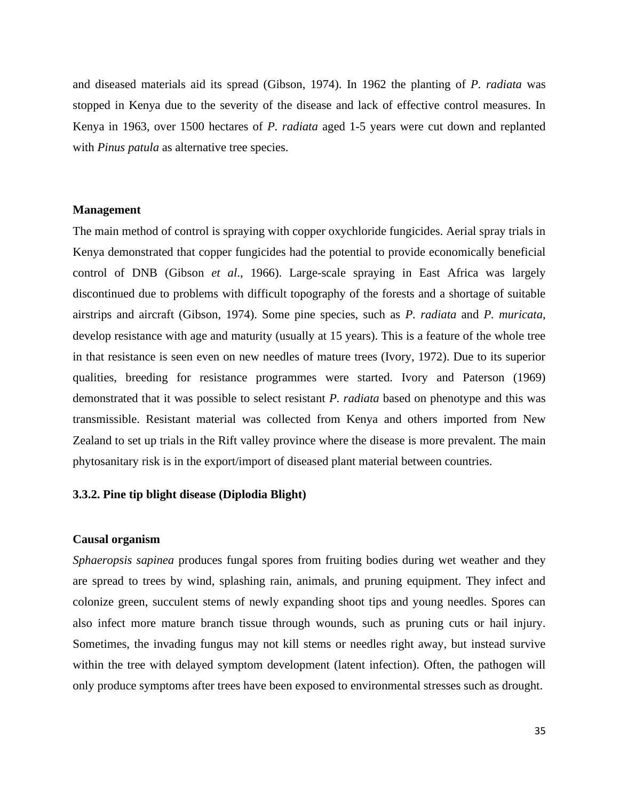and diseased materials aid its spread (Gibson, 1974). In 1962 the planting of *P. radiata* was stopped in Kenya due to the severity of the disease and lack of effective control measures. In Kenya in 1963, over 1500 hectares of *P. radiata* aged 1-5 years were cut down and replanted with *Pinus patula* as alternative tree species.

#### **Management**

The main method of control is spraying with copper oxychloride fungicides. Aerial spray trials in Kenya demonstrated that copper fungicides had the potential to provide economically beneficial control of DNB (Gibson *et al*., 1966). Large-scale spraying in East Africa was largely discontinued due to problems with difficult topography of the forests and a shortage of suitable airstrips and aircraft (Gibson, 1974). Some pine species, such as *P. radiata* and *P. muricata*, develop resistance with age and maturity (usually at 15 years). This is a feature of the whole tree in that resistance is seen even on new needles of mature trees (Ivory, 1972). Due to its superior qualities, breeding for resistance programmes were started. Ivory and Paterson (1969) demonstrated that it was possible to select resistant *P. radiata* based on phenotype and this was transmissible. Resistant material was collected from Kenya and others imported from New Zealand to set up trials in the Rift valley province where the disease is more prevalent. The main phytosanitary risk is in the export/import of diseased plant material between countries.

## <span id="page-38-0"></span>**3.3.2. Pine tip blight disease (Diplodia Blight)**

## **Causal organism**

*Sphaeropsis sapinea* produces fungal spores from fruiting bodies during wet weather and they are spread to trees by wind, splashing rain, animals, and pruning equipment. They infect and colonize green, succulent stems of newly expanding shoot tips and young needles. Spores can also infect more mature branch tissue through wounds, such as pruning cuts or hail injury. Sometimes, the invading fungus may not kill stems or needles right away, but instead survive within the tree with delayed symptom development (latent infection). Often, the pathogen will only produce symptoms after trees have been exposed to environmental stresses such as drought.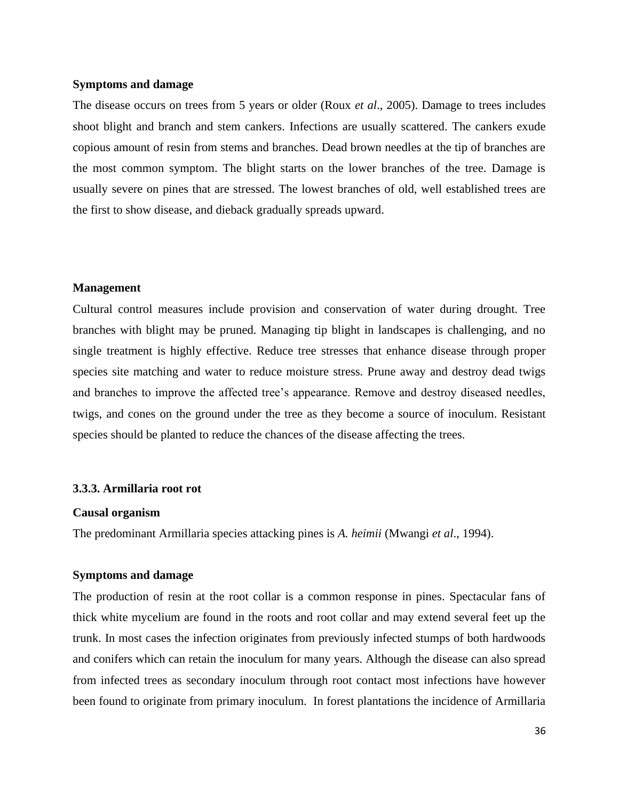#### **Symptoms and damage**

The disease occurs on trees from 5 years or older (Roux *et al*., 2005). Damage to trees includes shoot blight and branch and stem cankers. Infections are usually scattered. The cankers exude copious amount of resin from stems and branches. Dead brown needles at the tip of branches are the most common symptom. The blight starts on the lower branches of the tree. Damage is usually severe on pines that are stressed. The lowest branches of old, well established trees are the first to show disease, and dieback gradually spreads upward.

#### **Management**

Cultural control measures include provision and conservation of water during drought. Tree branches with blight may be pruned. Managing tip blight in landscapes is challenging, and no single treatment is highly effective. Reduce tree stresses that enhance disease through proper species site matching and water to reduce moisture stress. Prune away and destroy dead twigs and branches to improve the affected tree's appearance. Remove and destroy diseased needles, twigs, and cones on the ground under the tree as they become a source of inoculum. Resistant species should be planted to reduce the chances of the disease affecting the trees.

#### <span id="page-39-0"></span>**3.3.3. Armillaria root rot**

#### **Causal organism**

The predominant Armillaria species attacking pines is *A. heimii* (Mwangi *et al*., 1994).

## **Symptoms and damage**

The production of resin at the root collar is a common response in pines. Spectacular fans of thick white mycelium are found in the roots and root collar and may extend several feet up the trunk. In most cases the infection originates from previously infected stumps of both hardwoods and conifers which can retain the inoculum for many years. Although the disease can also spread from infected trees as secondary inoculum through root contact most infections have however been found to originate from primary inoculum. In forest plantations the incidence of Armillaria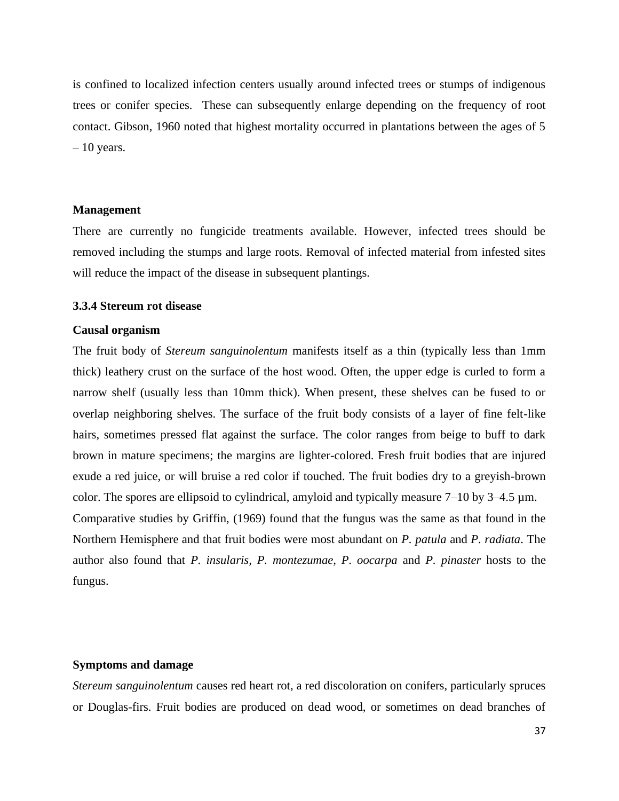is confined to localized infection centers usually around infected trees or stumps of indigenous trees or conifer species. These can subsequently enlarge depending on the frequency of root contact. Gibson, 1960 noted that highest mortality occurred in plantations between the ages of 5  $-10$  years.

#### **Management**

There are currently no fungicide treatments available. However, infected trees should be removed including the stumps and large roots. Removal of infected material from infested sites will reduce the impact of the disease in subsequent plantings.

## <span id="page-40-0"></span>**3.3.4 Stereum rot disease**

#### **Causal organism**

The fruit body of *Stereum sanguinolentum* manifests itself as a thin (typically less than 1mm thick) leathery crust on the surface of the host wood. Often, the upper edge is curled to form a narrow shelf (usually less than 10mm thick). When present, these shelves can be fused to or overlap neighboring shelves. The surface of the fruit body consists of a layer of fine felt-like hairs, sometimes pressed flat against the surface. The color ranges from beige to buff to dark brown in mature specimens; the margins are lighter-colored. Fresh fruit bodies that are injured exude a red juice, or will bruise a red color if touched. The fruit bodies dry to a greyish-brown color. The spores are ellipsoid to cylindrical, amyloid and typically measure 7–10 by 3–4.5  $\mu$ m. Comparative studies by Griffin, (1969) found that the fungus was the same as that found in the Northern Hemisphere and that fruit bodies were most abundant on *P. patula* and *P. radiata*. The author also found that *P. insularis, P. montezumae, P. oocarpa* and *P. pinaster* hosts to the fungus.

## **Symptoms and damage**

*Stereum sanguinolentum* causes red heart rot, a red discoloration on conifers, particularly spruces or Douglas-firs. Fruit bodies are produced on dead wood, or sometimes on dead branches of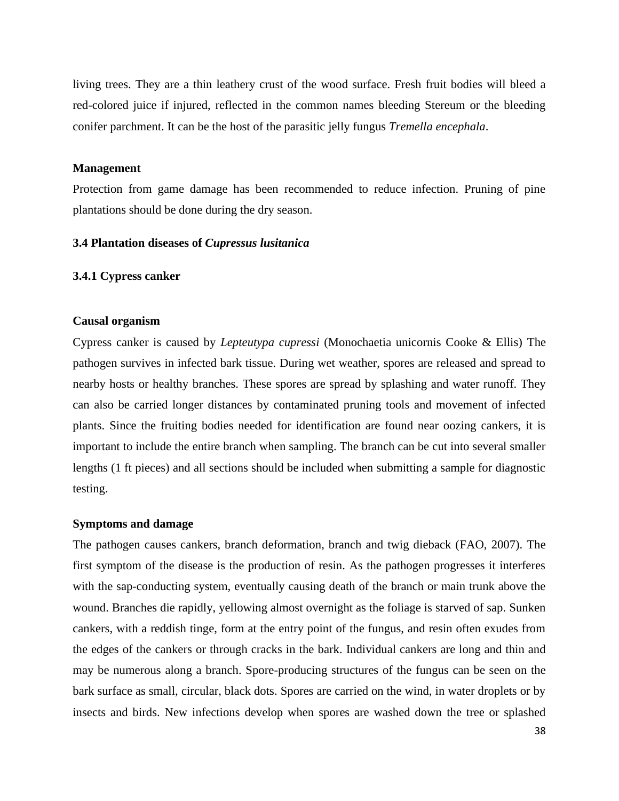living trees. They are a thin leathery crust of the wood surface. Fresh fruit bodies will bleed a red-colored juice if injured, reflected in the common names bleeding Stereum or the bleeding conifer parchment. It can be the host of the parasitic jelly fungus *Tremella encephala*.

#### **Management**

Protection from game damage has been recommended to reduce infection. Pruning of pine plantations should be done during the dry season.

#### <span id="page-41-0"></span>**3.4 Plantation diseases of** *Cupressus lusitanica*

#### <span id="page-41-1"></span>**3.4.1 Cypress canker**

#### **Causal organism**

Cypress canker is caused by *Lepteutypa cupressi* (Monochaetia unicornis Cooke & Ellis) The pathogen survives in infected bark tissue. During wet weather, spores are released and spread to nearby hosts or healthy branches. These spores are spread by splashing and water runoff. They can also be carried longer distances by contaminated pruning tools and movement of infected plants. Since the fruiting bodies needed for identification are found near oozing cankers, it is important to include the entire branch when sampling. The branch can be cut into several smaller lengths (1 ft pieces) and all sections should be included when submitting a sample for diagnostic testing.

#### **Symptoms and damage**

The pathogen causes cankers, branch deformation, branch and twig dieback (FAO, 2007). The first symptom of the disease is the production of resin. As the pathogen progresses it interferes with the sap-conducting system, eventually causing death of the branch or main trunk above the wound. Branches die rapidly, yellowing almost overnight as the foliage is starved of sap. Sunken cankers, with a reddish tinge, form at the entry point of the fungus, and resin often exudes from the edges of the cankers or through cracks in the bark. Individual cankers are long and thin and may be numerous along a branch. Spore-producing structures of the fungus can be seen on the bark surface as small, circular, black dots. Spores are carried on the wind, in water droplets or by insects and birds. New infections develop when spores are washed down the tree or splashed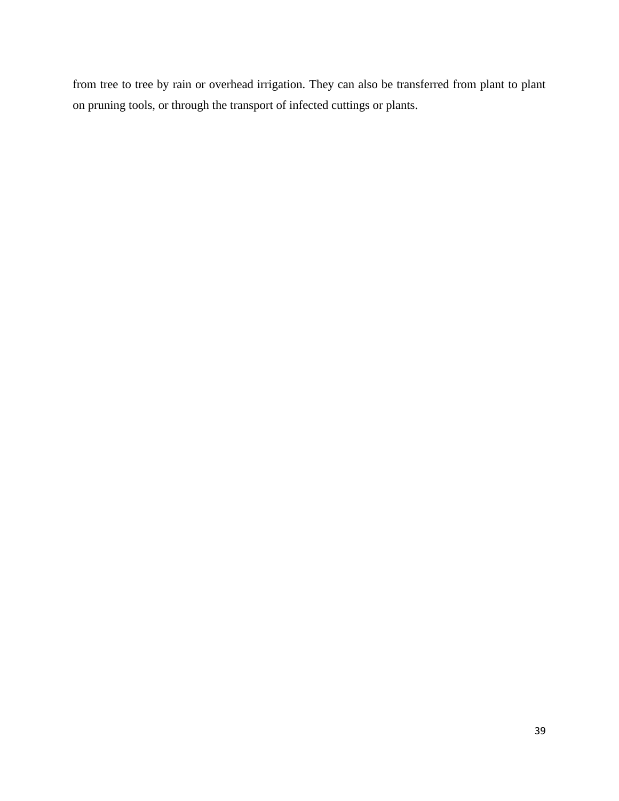from tree to tree by rain or overhead irrigation. They can also be transferred from plant to plant on pruning tools, or through the transport of infected cuttings or plants.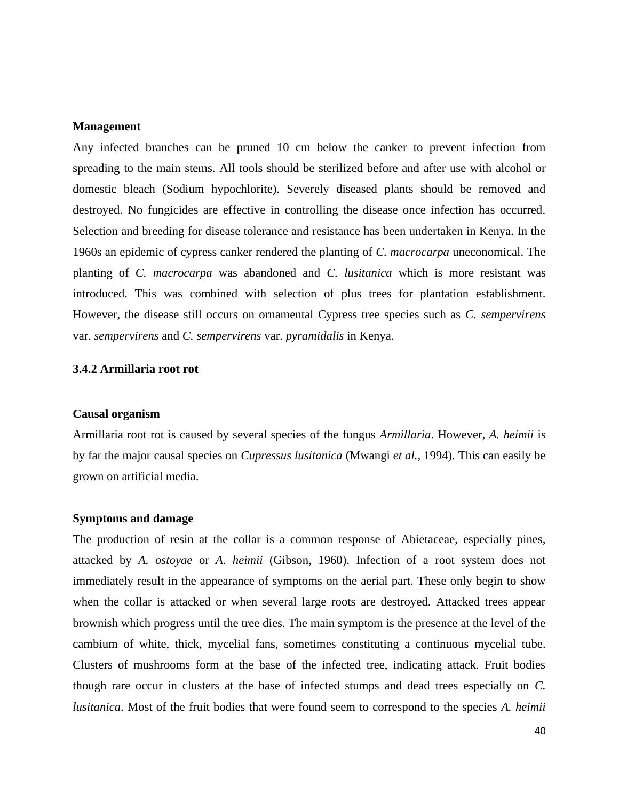#### **Management**

Any infected branches can be pruned 10 cm below the canker to prevent infection from spreading to the main stems. All tools should be sterilized before and after use with alcohol or domestic bleach (Sodium hypochlorite). Severely diseased plants should be removed and destroyed. No fungicides are effective in controlling the disease once infection has occurred. Selection and breeding for disease tolerance and resistance has been undertaken in Kenya. In the 1960s an epidemic of cypress canker rendered the planting of *C. macrocarpa* uneconomical. The planting of *C. macrocarpa* was abandoned and *C. lusitanica* which is more resistant was introduced. This was combined with selection of plus trees for plantation establishment. However, the disease still occurs on ornamental Cypress tree species such as *C. sempervirens* var. *sempervirens* and *C. sempervirens* var. *pyramidalis* in Kenya.

## <span id="page-43-0"></span>**3.4.2 Armillaria root rot**

## **Causal organism**

Armillaria root rot is caused by several species of the fungus *Armillaria*. However, *A. heimii* is by far the major causal species on *Cupressus lusitanica* (Mwangi *et al.,* 1994)*.* This can easily be grown on artificial media.

#### **Symptoms and damage**

The production of resin at the collar is a common response of Abietaceae, especially pines, attacked by *A. ostoyae* or *A. heimii* (Gibson, 1960). Infection of a root system does not immediately result in the appearance of symptoms on the aerial part. These only begin to show when the collar is attacked or when several large roots are destroyed. Attacked trees appear brownish which progress until the tree dies. The main symptom is the presence at the level of the cambium of white, thick, mycelial fans, sometimes constituting a continuous mycelial tube. Clusters of mushrooms form at the base of the infected tree, indicating attack. Fruit bodies though rare occur in clusters at the base of infected stumps and dead trees especially on *C. lusitanica*. Most of the fruit bodies that were found seem to correspond to the species *A. heimii*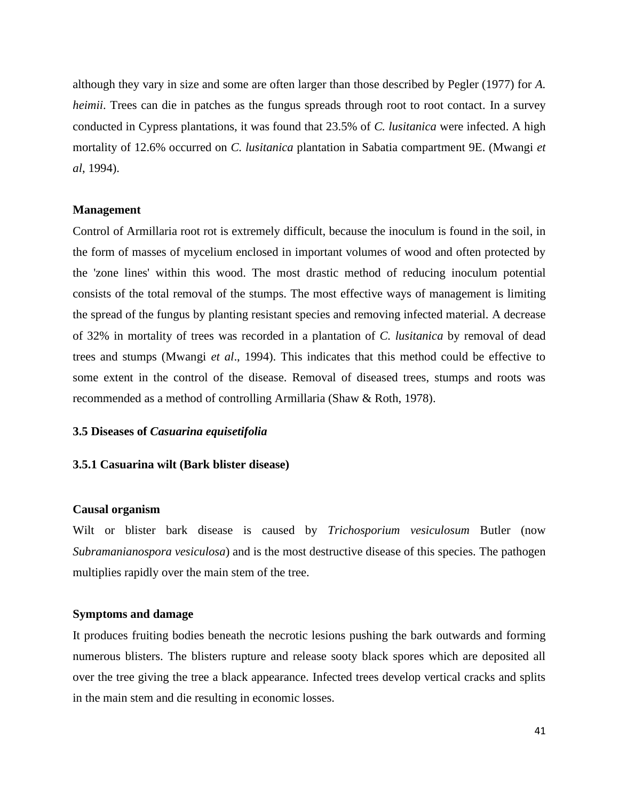although they vary in size and some are often larger than those described by Pegler (1977) for *A. heimii*. Trees can die in patches as the fungus spreads through root to root contact. In a survey conducted in Cypress plantations, it was found that 23.5% of *C. lusitanica* were infected. A high mortality of 12.6% occurred on *C. lusitanica* plantation in Sabatia compartment 9E. (Mwangi *et al*, 1994).

#### **Management**

Control of Armillaria root rot is extremely difficult, because the inoculum is found in the soil, in the form of masses of mycelium enclosed in important volumes of wood and often protected by the 'zone lines' within this wood. The most drastic method of reducing inoculum potential consists of the total removal of the stumps. The most effective ways of management is limiting the spread of the fungus by planting resistant species and removing infected material. A decrease of 32% in mortality of trees was recorded in a plantation of *C. lusitanica* by removal of dead trees and stumps (Mwangi *et al*., 1994). This indicates that this method could be effective to some extent in the control of the disease. Removal of diseased trees, stumps and roots was recommended as a method of controlling Armillaria (Shaw & Roth, 1978).

#### <span id="page-44-0"></span>**3.5 Diseases of** *Casuarina equisetifolia*

#### <span id="page-44-1"></span>**3.5.1 Casuarina wilt (Bark blister disease)**

#### **Causal organism**

Wilt or blister bark disease is caused by *Trichosporium vesiculosum* Butler (now *Subramanianospora vesiculosa*) and is the most destructive disease of this species. The pathogen multiplies rapidly over the main stem of the tree.

#### **Symptoms and damage**

It produces fruiting bodies beneath the necrotic lesions pushing the bark outwards and forming numerous blisters. The blisters rupture and release sooty black spores which are deposited all over the tree giving the tree a black appearance. Infected trees develop vertical cracks and splits in the main stem and die resulting in economic losses.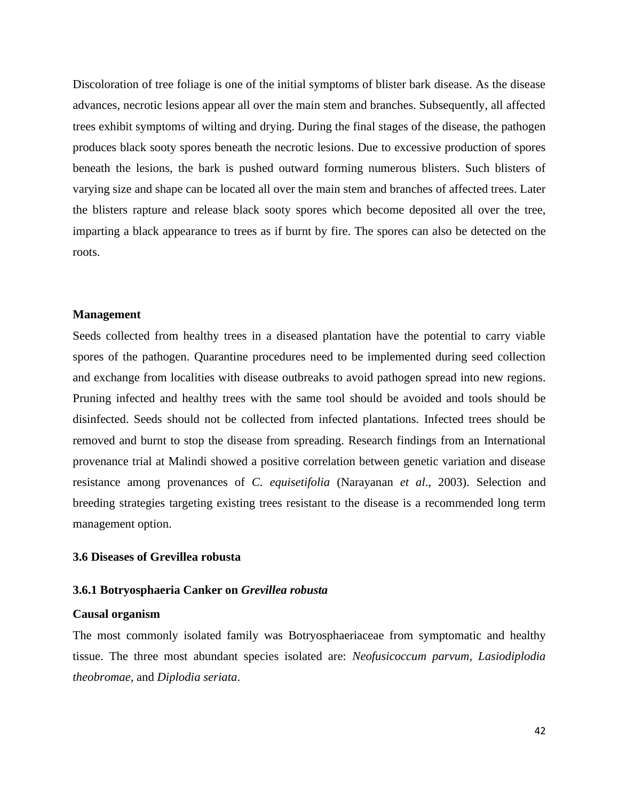Discoloration of tree foliage is one of the initial symptoms of blister bark disease. As the disease advances, necrotic lesions appear all over the main stem and branches. Subsequently, all affected trees exhibit symptoms of wilting and drying. During the final stages of the disease, the pathogen produces black sooty spores beneath the necrotic lesions. Due to excessive production of spores beneath the lesions, the bark is pushed outward forming numerous blisters. Such blisters of varying size and shape can be located all over the main stem and branches of affected trees. Later the blisters rapture and release black sooty spores which become deposited all over the tree, imparting a black appearance to trees as if burnt by fire. The spores can also be detected on the roots.

#### **Management**

Seeds collected from healthy trees in a diseased plantation have the potential to carry viable spores of the pathogen. Quarantine procedures need to be implemented during seed collection and exchange from localities with disease outbreaks to avoid pathogen spread into new regions. Pruning infected and healthy trees with the same tool should be avoided and tools should be disinfected. Seeds should not be collected from infected plantations. Infected trees should be removed and burnt to stop the disease from spreading. Research findings from an International provenance trial at Malindi showed a positive correlation between genetic variation and disease resistance among provenances of *C. equisetifolia* (Narayanan *et al*., 2003). Selection and breeding strategies targeting existing trees resistant to the disease is a recommended long term management option.

## <span id="page-45-0"></span>**3.6 Diseases of Grevillea robusta**

## <span id="page-45-1"></span>**3.6.1 Botryosphaeria Canker on** *Grevillea robusta*

#### **Causal organism**

The most commonly isolated family was Botryosphaeriaceae from symptomatic and healthy tissue. The three most abundant species isolated are: *Neofusicoccum parvum, Lasiodiplodia theobromae,* and *Diplodia seriata*.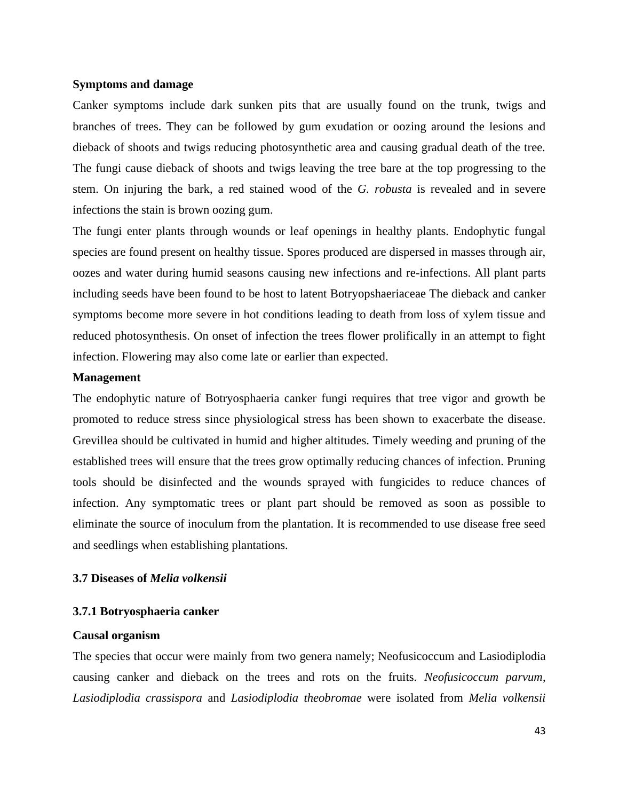## **Symptoms and damage**

Canker symptoms include dark sunken pits that are usually found on the trunk, twigs and branches of trees. They can be followed by gum exudation or oozing around the lesions and dieback of shoots and twigs reducing photosynthetic area and causing gradual death of the tree. The fungi cause dieback of shoots and twigs leaving the tree bare at the top progressing to the stem. On injuring the bark, a red stained wood of the *G. robusta* is revealed and in severe infections the stain is brown oozing gum.

The fungi enter plants through wounds or leaf openings in healthy plants. Endophytic fungal species are found present on healthy tissue. Spores produced are dispersed in masses through air, oozes and water during humid seasons causing new infections and re-infections. All plant parts including seeds have been found to be host to latent Botryopshaeriaceae The dieback and canker symptoms become more severe in hot conditions leading to death from loss of xylem tissue and reduced photosynthesis. On onset of infection the trees flower prolifically in an attempt to fight infection. Flowering may also come late or earlier than expected.

## **Management**

The endophytic nature of Botryosphaeria canker fungi requires that tree vigor and growth be promoted to reduce stress since physiological stress has been shown to exacerbate the disease. Grevillea should be cultivated in humid and higher altitudes. Timely weeding and pruning of the established trees will ensure that the trees grow optimally reducing chances of infection. Pruning tools should be disinfected and the wounds sprayed with fungicides to reduce chances of infection. Any symptomatic trees or plant part should be removed as soon as possible to eliminate the source of inoculum from the plantation. It is recommended to use disease free seed and seedlings when establishing plantations.

## <span id="page-46-0"></span>**3.7 Diseases of** *Melia volkensii*

## <span id="page-46-1"></span>**3.7.1 Botryosphaeria canker**

## **Causal organism**

The species that occur were mainly from two genera namely; Neofusicoccum and Lasiodiplodia causing canker and dieback on the trees and rots on the fruits. *Neofusicoccum parvum*, *Lasiodiplodia crassispora* and *Lasiodiplodia theobromae* were isolated from *Melia volkensii*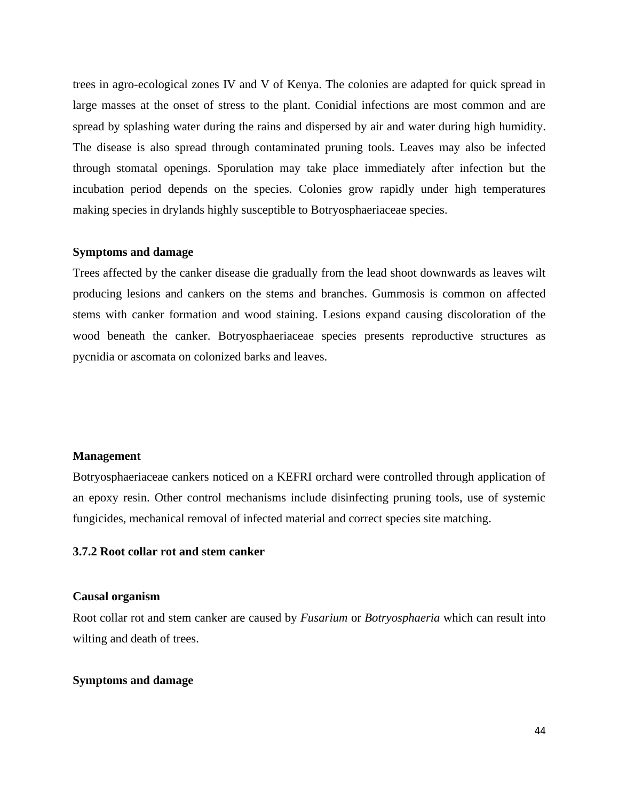trees in agro-ecological zones IV and V of Kenya. The colonies are adapted for quick spread in large masses at the onset of stress to the plant. Conidial infections are most common and are spread by splashing water during the rains and dispersed by air and water during high humidity. The disease is also spread through contaminated pruning tools. Leaves may also be infected through stomatal openings. Sporulation may take place immediately after infection but the incubation period depends on the species. Colonies grow rapidly under high temperatures making species in drylands highly susceptible to Botryosphaeriaceae species.

## **Symptoms and damage**

Trees affected by the canker disease die gradually from the lead shoot downwards as leaves wilt producing lesions and cankers on the stems and branches. Gummosis is common on affected stems with canker formation and wood staining. Lesions expand causing discoloration of the wood beneath the canker. Botryosphaeriaceae species presents reproductive structures as pycnidia or ascomata on colonized barks and leaves.

## **Management**

Botryosphaeriaceae cankers noticed on a KEFRI orchard were controlled through application of an epoxy resin. Other control mechanisms include disinfecting pruning tools, use of systemic fungicides, mechanical removal of infected material and correct species site matching.

## <span id="page-47-0"></span>**3.7.2 Root collar rot and stem canker**

#### **Causal organism**

Root collar rot and stem canker are caused by *Fusarium* or *Botryosphaeria* which can result into wilting and death of trees.

#### **Symptoms and damage**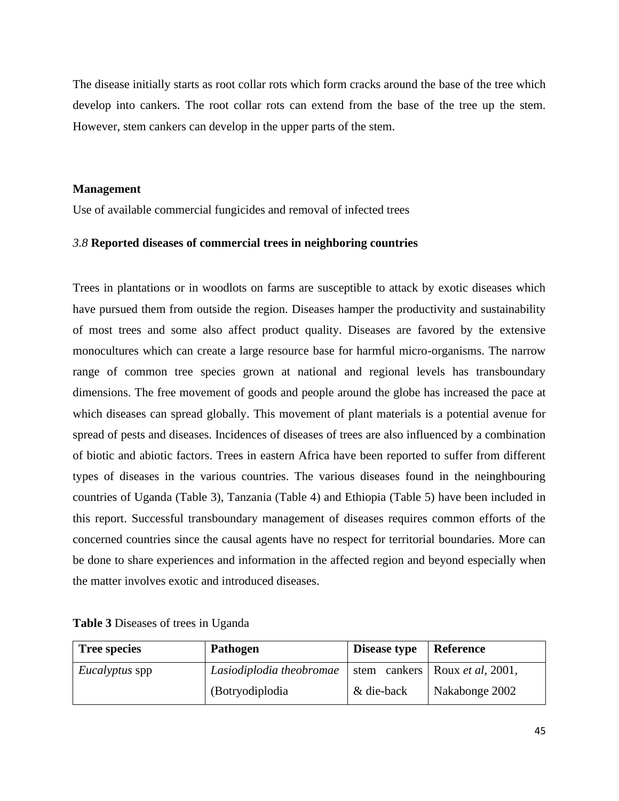The disease initially starts as root collar rots which form cracks around the base of the tree which develop into cankers. The root collar rots can extend from the base of the tree up the stem. However, stem cankers can develop in the upper parts of the stem.

## **Management**

Use of available commercial fungicides and removal of infected trees

## <span id="page-48-0"></span>*3.8* **Reported diseases of commercial trees in neighboring countries**

Trees in plantations or in woodlots on farms are susceptible to attack by exotic diseases which have pursued them from outside the region. Diseases hamper the productivity and sustainability of most trees and some also affect product quality. Diseases are favored by the extensive monocultures which can create a large resource base for harmful micro-organisms. The narrow range of common tree species grown at national and regional levels has transboundary dimensions. The free movement of goods and people around the globe has increased the pace at which diseases can spread globally. This movement of plant materials is a potential avenue for spread of pests and diseases. Incidences of diseases of trees are also influenced by a combination of biotic and abiotic factors. Trees in eastern Africa have been reported to suffer from different types of diseases in the various countries. The various diseases found in the neinghbouring countries of Uganda (Table 3), Tanzania (Table 4) and Ethiopia (Table 5) have been included in this report. Successful transboundary management of diseases requires common efforts of the concerned countries since the causal agents have no respect for territorial boundaries. More can be done to share experiences and information in the affected region and beyond especially when the matter involves exotic and introduced diseases.

| <b>Tree species</b>   | Pathogen                 | Disease type | <b>Reference</b>                         |
|-----------------------|--------------------------|--------------|------------------------------------------|
| <i>Eucalyptus</i> spp | Lasiodiplodia theobromae |              | stem cankers   Roux <i>et al</i> , 2001, |
|                       | (Botryodiplodia)         | & die-back   | Nakabonge 2002                           |

<span id="page-48-1"></span>**Table 3** Diseases of trees in Uganda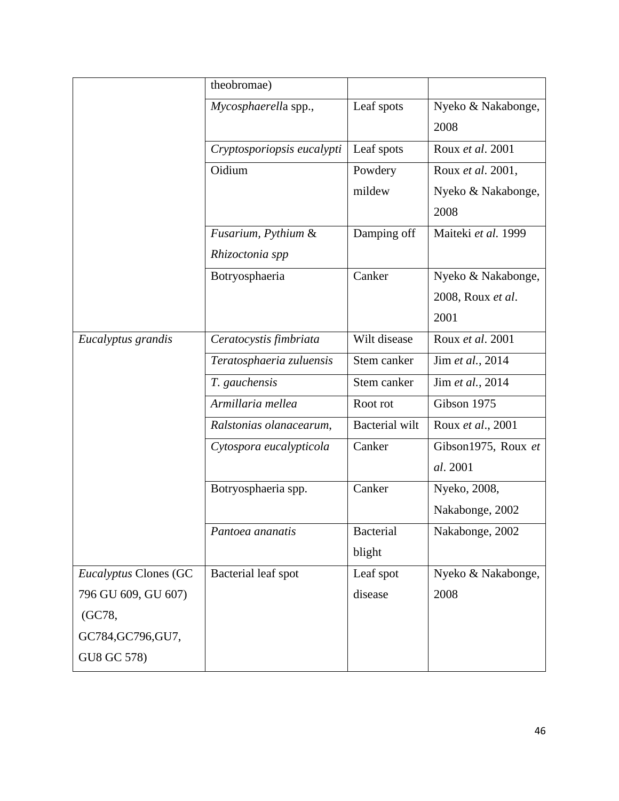|                              | theobromae)                |                       |                     |
|------------------------------|----------------------------|-----------------------|---------------------|
|                              | Mycosphaerella spp.,       | Leaf spots            | Nyeko & Nakabonge,  |
|                              |                            |                       | 2008                |
|                              | Cryptosporiopsis eucalypti | Leaf spots            | Roux et al. 2001    |
|                              | Oidium                     | Powdery               | Roux et al. 2001,   |
|                              |                            | mildew                | Nyeko & Nakabonge,  |
|                              |                            |                       | 2008                |
|                              | Fusarium, Pythium &        | Damping off           | Maiteki et al. 1999 |
|                              | Rhizoctonia spp            |                       |                     |
|                              | Botryosphaeria             | Canker                | Nyeko & Nakabonge,  |
|                              |                            |                       | 2008, Roux et al.   |
|                              |                            |                       | 2001                |
| Eucalyptus grandis           | Ceratocystis fimbriata     | Wilt disease          | Roux et al. 2001    |
|                              | Teratosphaeria zuluensis   | Stem canker           | Jim et al., 2014    |
|                              | T. gauchensis              | Stem canker           | Jim et al., 2014    |
|                              | Armillaria mellea          | Root rot              | Gibson 1975         |
|                              | Ralstonias olanacearum,    | <b>Bacterial</b> wilt | Roux et al., 2001   |
|                              | Cytospora eucalypticola    | Canker                | Gibson1975, Roux et |
|                              |                            |                       | al. 2001            |
|                              | Botryosphaeria spp.        | Canker                | Nyeko, 2008,        |
|                              |                            |                       | Nakabonge, 2002     |
|                              | Pantoea ananatis           | <b>Bacterial</b>      | Nakabonge, 2002     |
|                              |                            | blight                |                     |
| <b>Eucalyptus Clones (GC</b> | Bacterial leaf spot        | Leaf spot             | Nyeko & Nakabonge,  |
| 796 GU 609, GU 607)          |                            | disease               | 2008                |
| (GC78,                       |                            |                       |                     |
| GC784, GC796, GU7,           |                            |                       |                     |
| GU8 GC 578)                  |                            |                       |                     |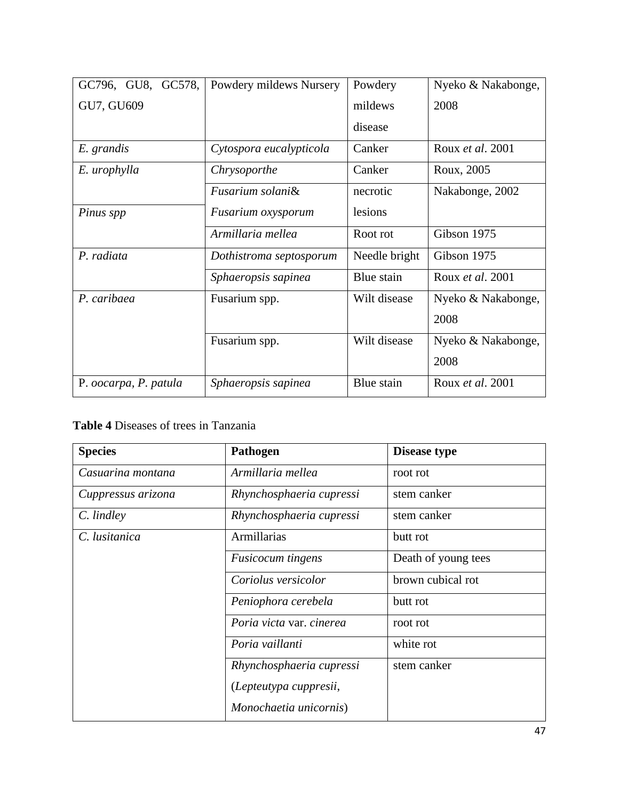| GC796, GU8, GC578,    | Powdery mildews Nursery | Powdery       | Nyeko & Nakabonge,      |
|-----------------------|-------------------------|---------------|-------------------------|
| GU7, GU609            |                         | mildews       | 2008                    |
|                       |                         | disease       |                         |
| E. grandis            | Cytospora eucalypticola | Canker        | Roux et al. 2001        |
| E. urophylla          | Chrysoporthe            | Canker        | Roux, 2005              |
|                       | Fusarium solani&        | necrotic      | Nakabonge, 2002         |
| Pinus spp             | Fusarium oxysporum      | lesions       |                         |
|                       | Armillaria mellea       | Root rot      | Gibson 1975             |
| P. radiata            | Dothistroma septosporum | Needle bright | Gibson 1975             |
|                       | Sphaeropsis sapinea     | Blue stain    | Roux <i>et al.</i> 2001 |
| P. caribaea           | Fusarium spp.           | Wilt disease  | Nyeko & Nakabonge,      |
|                       |                         |               | 2008                    |
|                       | Fusarium spp.           | Wilt disease  | Nyeko & Nakabonge,      |
|                       |                         |               | 2008                    |
| P. oocarpa, P. patula | Sphaeropsis sapinea     | Blue stain    | Roux et al. 2001        |

# <span id="page-50-0"></span>**Table 4** Diseases of trees in Tanzania

| <b>Species</b>     | Pathogen                 | Disease type        |
|--------------------|--------------------------|---------------------|
| Casuarina montana  | Armillaria mellea        | root rot            |
| Cuppressus arizona | Rhynchosphaeria cupressi | stem canker         |
| C. lindley         | Rhynchosphaeria cupressi | stem canker         |
| C. lusitanica      | Armillarias              | butt rot            |
|                    | <b>Fusicocum</b> tingens | Death of young tees |
|                    | Coriolus versicolor      | brown cubical rot   |
|                    | Peniophora cerebela      | butt rot            |
|                    | Poria victa var. cinerea | root rot            |
|                    | Poria vaillanti          | white rot           |
|                    | Rhynchosphaeria cupressi | stem canker         |
|                    | (Lepteutypa cuppresii,   |                     |
|                    | Monochaetia unicornis)   |                     |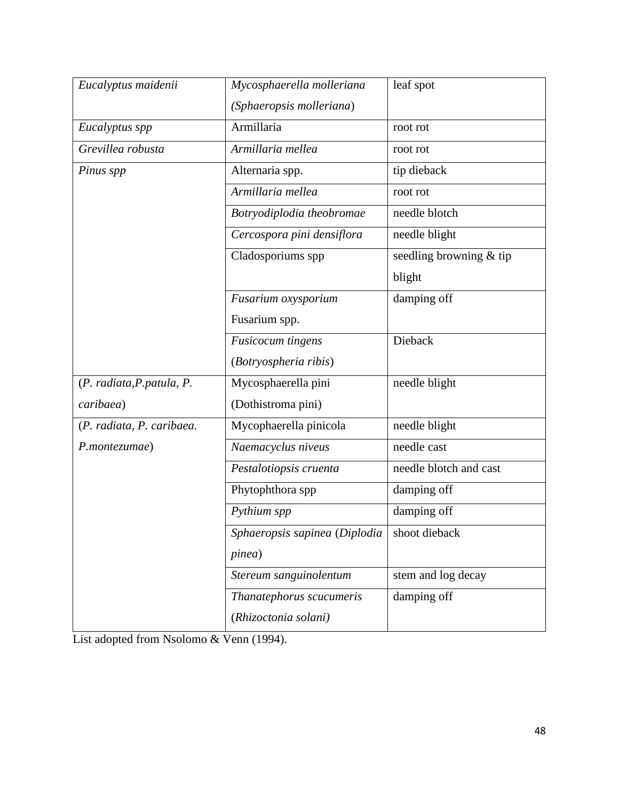| Eucalyptus maidenii        | Mycosphaerella molleriana     | leaf spot                 |
|----------------------------|-------------------------------|---------------------------|
|                            | (Sphaeropsis molleriana)      |                           |
| Eucalyptus spp             | Armillaria                    | root rot                  |
| Grevillea robusta          | Armillaria mellea             | root rot                  |
| Pinus spp                  | Alternaria spp.               | tip dieback               |
|                            | Armillaria mellea             | root rot                  |
|                            | Botryodiplodia theobromae     | needle blotch             |
|                            | Cercospora pini densiflora    | needle blight             |
|                            | Cladosporiums spp             | seedling browning $&$ tip |
|                            |                               | blight                    |
|                            | Fusarium oxysporium           | damping off               |
|                            | Fusarium spp.                 |                           |
|                            | <b>Fusicocum</b> tingens      | Dieback                   |
|                            | (Botryospheria ribis)         |                           |
| (P. radiata, P. patula, P. | Mycosphaerella pini           | needle blight             |
| caribaea)                  | (Dothistroma pini)            |                           |
| (P. radiata, P. caribaea.  | Mycophaerella pinicola        | needle blight             |
| P.montezumae)              | Naemacyclus niveus            | needle cast               |
|                            | Pestalotiopsis cruenta        | needle blotch and cast    |
|                            | Phytophthora spp              | damping off               |
|                            | Pythium spp                   | damping off               |
|                            | Sphaeropsis sapinea (Diplodia | shoot dieback             |
|                            | <i>pinea</i> )                |                           |
|                            | Stereum sanguinolentum        | stem and log decay        |
|                            | Thanatephorus scucumeris      | damping off               |
|                            | (Rhizoctonia solani)          |                           |

List adopted from Nsolomo & Venn (1994).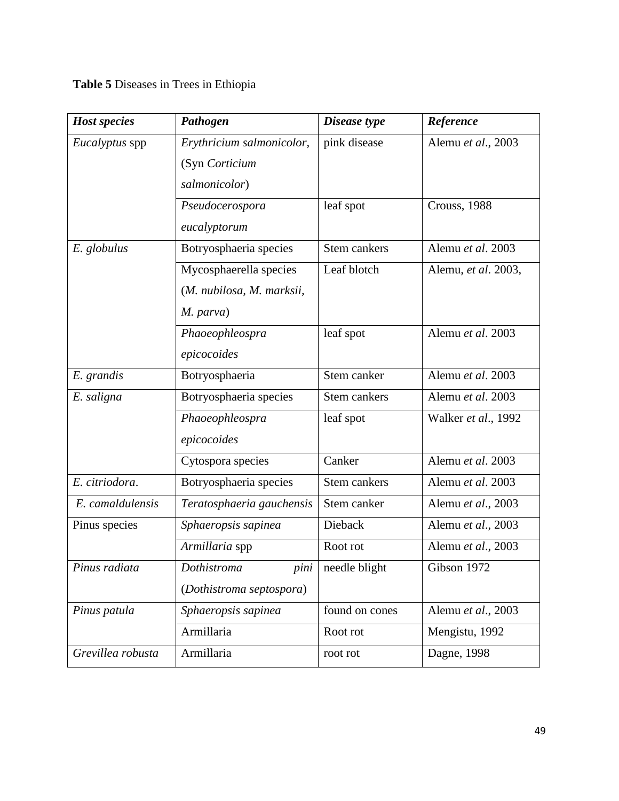<span id="page-52-0"></span>**Table 5** Diseases in Trees in Ethiopia

| <b>Host species</b>   | Pathogen                  | Disease type   | Reference           |
|-----------------------|---------------------------|----------------|---------------------|
| <i>Eucalyptus</i> spp | Erythricium salmonicolor, | pink disease   | Alemu et al., 2003  |
|                       | (Syn Corticium            |                |                     |
|                       | salmonicolor)             |                |                     |
|                       | Pseudocerospora           | leaf spot      | Crouss, 1988        |
|                       | eucalyptorum              |                |                     |
| E. globulus           | Botryosphaeria species    | Stem cankers   | Alemu et al. 2003   |
|                       | Mycosphaerella species    | Leaf blotch    | Alemu, et al. 2003, |
|                       | (M. nubilosa, M. marksii, |                |                     |
|                       | M. parva)                 |                |                     |
|                       | Phaoeophleospra           | leaf spot      | Alemu et al. 2003   |
|                       | epicocoides               |                |                     |
| E. grandis            | Botryosphaeria            | Stem canker    | Alemu et al. 2003   |
| E. saligna            | Botryosphaeria species    | Stem cankers   | Alemu et al. 2003   |
|                       | Phaoeophleospra           | leaf spot      | Walker et al., 1992 |
|                       | epicocoides               |                |                     |
|                       | Cytospora species         | Canker         | Alemu et al. 2003   |
| E. citriodora.        | Botryosphaeria species    | Stem cankers   | Alemu et al. 2003   |
| E. camaldulensis      | Teratosphaeria gauchensis | Stem canker    | Alemu et al., 2003  |
| Pinus species         | Sphaeropsis sapinea       | Dieback        | Alemu et al., 2003  |
|                       | Armillaria spp            | Root rot       | Alemu et al., 2003  |
| Pinus radiata         | Dothistroma<br>pini       | needle blight  | Gibson 1972         |
|                       | (Dothistroma septospora)  |                |                     |
| Pinus patula          | Sphaeropsis sapinea       | found on cones | Alemu et al., 2003  |
|                       | Armillaria                | Root rot       | Mengistu, 1992      |
| Grevillea robusta     | Armillaria                | root rot       | Dagne, 1998         |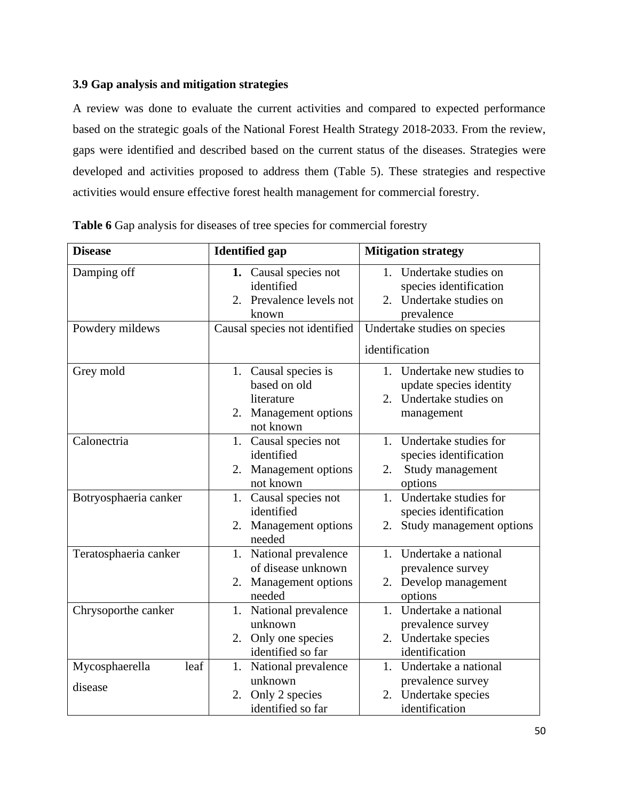## <span id="page-53-0"></span>**3.9 Gap analysis and mitigation strategies**

A review was done to evaluate the current activities and compared to expected performance based on the strategic goals of the National Forest Health Strategy 2018-2033. From the review, gaps were identified and described based on the current status of the diseases. Strategies were developed and activities proposed to address them (Table 5). These strategies and respective activities would ensure effective forest health management for commercial forestry.

| <b>Disease</b>                    | <b>Identified</b> gap                                                                    | <b>Mitigation strategy</b>                                                                                     |
|-----------------------------------|------------------------------------------------------------------------------------------|----------------------------------------------------------------------------------------------------------------|
| Damping off                       | 1. Causal species not<br>identified<br>Prevalence levels not<br>2.<br>known              | Undertake studies on<br>$1_{-}$<br>species identification<br>Undertake studies on<br>$2^{\circ}$<br>prevalence |
| Powdery mildews                   | Causal species not identified                                                            | Undertake studies on species                                                                                   |
|                                   |                                                                                          | identification                                                                                                 |
| Grey mold                         | 1. Causal species is<br>based on old<br>literature<br>2. Management options<br>not known | 1. Undertake new studies to<br>update species identity<br>Undertake studies on<br>2.<br>management             |
| Calonectria                       | 1. Causal species not<br>identified<br>2. Management options<br>not known                | 1. Undertake studies for<br>species identification<br>Study management<br>2.<br>options                        |
| Botryosphaeria canker             | 1. Causal species not<br>identified<br>Management options<br>2.<br>needed                | 1. Undertake studies for<br>species identification<br>Study management options<br>2.                           |
| Teratosphaeria canker             | 1. National prevalence<br>of disease unknown<br>2. Management options<br>needed          | Undertake a national<br>$1_{\cdot}$<br>prevalence survey<br>2. Develop management<br>options                   |
| Chrysoporthe canker               | National prevalence<br>1.<br>unknown<br>2. Only one species<br>identified so far         | Undertake a national<br>$1_{-}$<br>prevalence survey<br>2. Undertake species<br>identification                 |
| Mycosphaerella<br>leaf<br>disease | National prevalence<br>1.<br>unknown<br>2. Only 2 species<br>identified so far           | Undertake a national<br>$1_{\cdot}$<br>prevalence survey<br>Undertake species<br>2.<br>identification          |

<span id="page-53-1"></span>**Table 6** Gap analysis for diseases of tree species for commercial forestry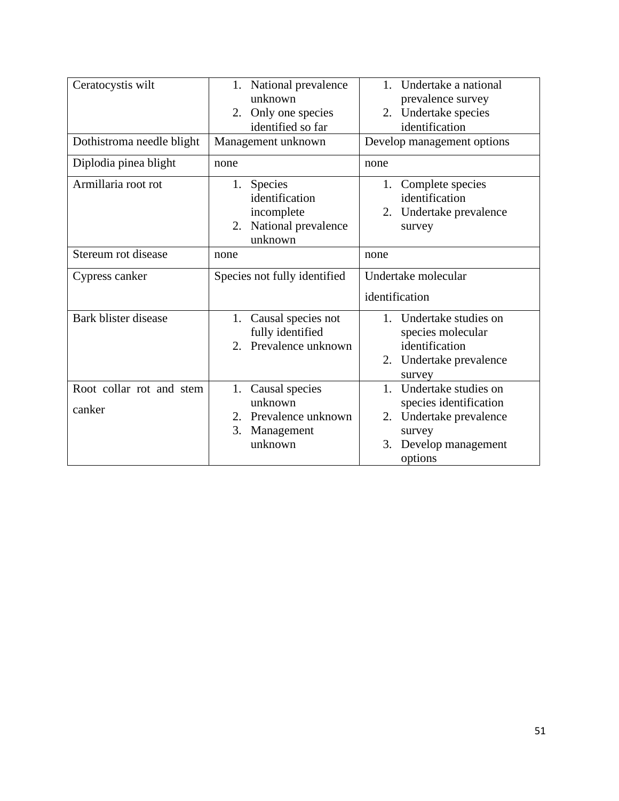| Ceratocystis wilt                  | 1. National prevalence<br>unknown<br>2. Only one species<br>identified so far        | Undertake a national<br>$1_{-}$<br>prevalence survey<br>2. Undertake species<br>identification                                   |
|------------------------------------|--------------------------------------------------------------------------------------|----------------------------------------------------------------------------------------------------------------------------------|
| Dothistroma needle blight          | Management unknown                                                                   | Develop management options                                                                                                       |
| Diplodia pinea blight              | none                                                                                 | none                                                                                                                             |
| Armillaria root rot                | 1. Species<br>identification<br>incomplete<br>National prevalence<br>2.<br>unknown   | Complete species<br>1.<br>identification<br>2. Undertake prevalence<br>survey                                                    |
| Stereum rot disease                | none                                                                                 | none                                                                                                                             |
| Cypress canker                     | Species not fully identified                                                         | Undertake molecular<br>identification                                                                                            |
| Bark blister disease               | 1. Causal species not<br>fully identified<br>2. Prevalence unknown                   | 1. Undertake studies on<br>species molecular<br>identification<br>2. Undertake prevalence<br>survey                              |
| Root collar rot and stem<br>canker | 1. Causal species<br>unknown<br>2. Prevalence unknown<br>Management<br>3.<br>unknown | 1. Undertake studies on<br>species identification<br>Undertake prevalence<br>2.<br>survey<br>Develop management<br>3.<br>options |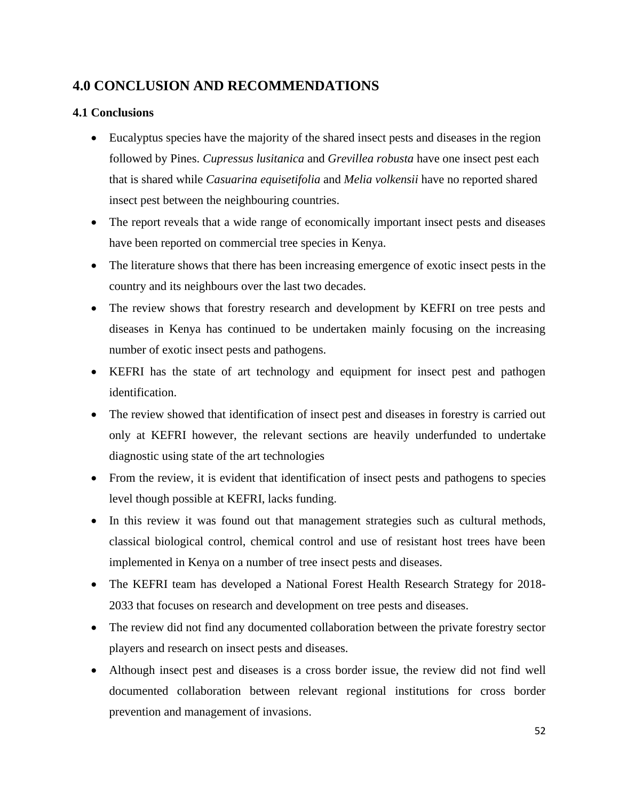# <span id="page-55-0"></span>**4.0 CONCLUSION AND RECOMMENDATIONS**

## <span id="page-55-1"></span>**4.1 Conclusions**

- Eucalyptus species have the majority of the shared insect pests and diseases in the region followed by Pines. *Cupressus lusitanica* and *Grevillea robusta* have one insect pest each that is shared while *Casuarina equisetifolia* and *Melia volkensii* have no reported shared insect pest between the neighbouring countries.
- The report reveals that a wide range of economically important insect pests and diseases have been reported on commercial tree species in Kenya.
- The literature shows that there has been increasing emergence of exotic insect pests in the country and its neighbours over the last two decades.
- The review shows that forestry research and development by KEFRI on tree pests and diseases in Kenya has continued to be undertaken mainly focusing on the increasing number of exotic insect pests and pathogens.
- KEFRI has the state of art technology and equipment for insect pest and pathogen identification.
- The review showed that identification of insect pest and diseases in forestry is carried out only at KEFRI however, the relevant sections are heavily underfunded to undertake diagnostic using state of the art technologies
- From the review, it is evident that identification of insect pests and pathogens to species level though possible at KEFRI, lacks funding.
- In this review it was found out that management strategies such as cultural methods, classical biological control, chemical control and use of resistant host trees have been implemented in Kenya on a number of tree insect pests and diseases.
- The KEFRI team has developed a National Forest Health Research Strategy for 2018-2033 that focuses on research and development on tree pests and diseases.
- The review did not find any documented collaboration between the private forestry sector players and research on insect pests and diseases.
- Although insect pest and diseases is a cross border issue, the review did not find well documented collaboration between relevant regional institutions for cross border prevention and management of invasions.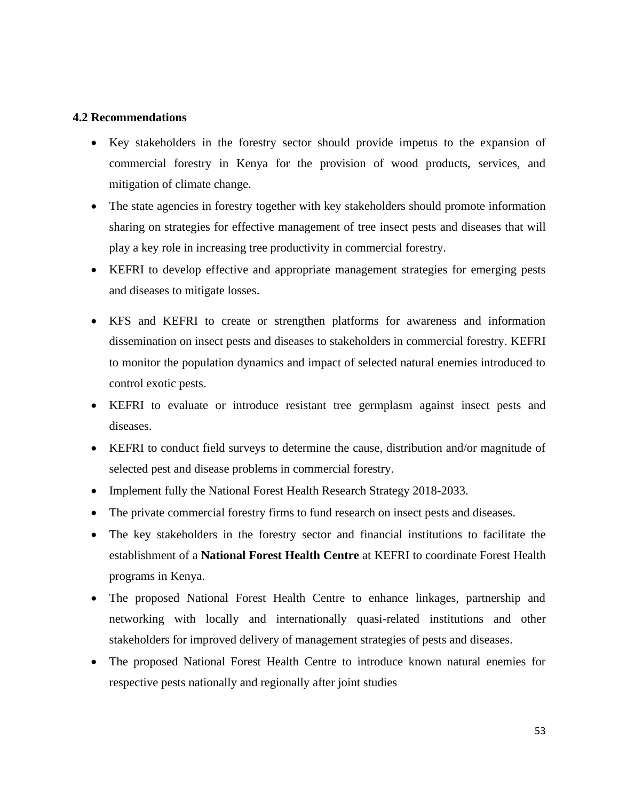## <span id="page-56-0"></span>**4.2 Recommendations**

- Key stakeholders in the forestry sector should provide impetus to the expansion of commercial forestry in Kenya for the provision of wood products, services, and mitigation of climate change.
- The state agencies in forestry together with key stakeholders should promote information sharing on strategies for effective management of tree insect pests and diseases that will play a key role in increasing tree productivity in commercial forestry.
- KEFRI to develop effective and appropriate management strategies for emerging pests and diseases to mitigate losses.
- KFS and KEFRI to create or strengthen platforms for awareness and information dissemination on insect pests and diseases to stakeholders in commercial forestry. KEFRI to monitor the population dynamics and impact of selected natural enemies introduced to control exotic pests.
- KEFRI to evaluate or introduce resistant tree germplasm against insect pests and diseases.
- KEFRI to conduct field surveys to determine the cause, distribution and/or magnitude of selected pest and disease problems in commercial forestry.
- Implement fully the National Forest Health Research Strategy 2018-2033.
- The private commercial forestry firms to fund research on insect pests and diseases.
- The key stakeholders in the forestry sector and financial institutions to facilitate the establishment of a **National Forest Health Centre** at KEFRI to coordinate Forest Health programs in Kenya.
- The proposed National Forest Health Centre to enhance linkages, partnership and networking with locally and internationally quasi-related institutions and other stakeholders for improved delivery of management strategies of pests and diseases.
- The proposed National Forest Health Centre to introduce known natural enemies for respective pests nationally and regionally after joint studies